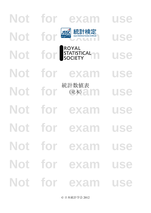# **Not for exam use** Not for **BSC** 統計検定<br>LISC Not for STATISTICAL USE **Not for exam use** Not for <sup>ELET</sup> EXEX **Not for exam use Not for exam use Not for exam use Not for exam use Not for exam use** 統計数値表 (見本)

© 日本統計学会 2012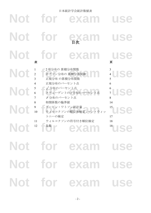|            |                          |                                                          | 日本統計学会統計数値表                                            |                                       |
|------------|--------------------------|----------------------------------------------------------|--------------------------------------------------------|---------------------------------------|
| <b>Not</b> |                          | for                                                      | exam                                                   | use                                   |
| <b>Not</b> |                          | for                                                      | 日次日                                                    | use                                   |
| <b>Not</b> | 表                        | for                                                      | exan                                                   | use<br>頁                              |
| Not        | $\overline{c}$<br>3<br>4 | 2 項分布の 累積分布関数<br>正規分布 の累積分布関数<br>正規分布のパーセント点             | ポアソン分布の 累積分布関数                                         | use<br>$\overline{4}$<br>5<br>6       |
| Not        | 5<br>6<br>7<br>8         | $\mathcal{L}=\chi^2$ 分布のパーセント点<br>F分布のパーセント点<br>相関係数の臨界値 | ステューデントの「分布のパーセント点                                     | 6<br>use<br>$\overline{7}$<br>8<br>14 |
|            | 9<br>10                  | 「ダービン・ワトソン統計量<br>トニーの検定                                  | ウィルコクソンの順位和検定 - マン・ウィッ                                 | 15<br>Ise<br>17                       |
|            |                          |                                                          | 11 ウィルコクソンの符号付き順位検定 18<br>18 12 乱数 ( ) ( ) ( ) 18 18 0 |                                       |
|            |                          |                                                          | Not for exam use                                       |                                       |
|            |                          |                                                          | Not for exam use                                       |                                       |
|            |                          |                                                          | Not for exam use                                       |                                       |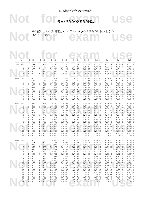## Not for <sub>表1:2項分布の累積分布関数</sub>

Not<sup>*P(X ≤ x*) cb3. (2) examine x examine x examine x examine x examine x examine x examine x examine x examine x examine x examine x examine x examine x examine x examine x examine x examine x examine x examine x examine </sup> 表の値は,*X* が試行回数 *n*,パラメータ *p* の 2 項分布に従うときの *P*(*X x*) である.

| $p =$                 | 0.05             | 0.10             | 0.15             | 0.20             | 0.25             | 0.30             | 0.35             | 0.40             | 0.45             | 0.50             |
|-----------------------|------------------|------------------|------------------|------------------|------------------|------------------|------------------|------------------|------------------|------------------|
| $n=5$ , $x=0$         | 0.7738           | 0.5905           | 0.4437           | 0.3277           | 0.2373           | 0.1681           | 0.1160           | 0.0778           | 0.0503           | 0.0312           |
| 1                     | 0.9774           | 0.9185           | 0.8352           | 0.7373           | 0.6328           | 0.5282           | 0.4284           | 0.3370           | 0.2562           | 0.1875           |
| 2                     | 0.9988           | 0.9914           | 0.9734           | 0.9421           | 0.8965           | 0.8369           | 0.7648           | 0.6826           | 0.5931           | 0.5000           |
| 3<br>4                | 1.0000           | 0.9995           | 0.9978           | 0.9933           | 0.9844           | 0.9692           | 0.9460           | 0.9130           | 0.8688<br>0.9815 | 0.8125           |
|                       | 1.0000           | 1.0000           | 0.9999           | 0.9997           | 0.9990           | 0.9976           | 0.9947           | 0.9898           |                  | 0.9688           |
| $n=10, x=0$           | 0.5987           | 0.3487           | 0.1969           | 0.1074           | 0.0563           | 0.0282           | 0.0135           | 0.0060           | 0.0025           | 0.0010           |
| 1                     | 0.9139           | 0.7361           | 0.5443           | 0.3758           | 0.2440           | 0.1493           | 0.0860           | 0.0464           | 0.0233           | 0.0107           |
| 2                     | 0.9885           | 0.9298           | 0.8202           | 0.6778           | 0.5256           | 0.3828           | 0.2616           | 0.1673           | 0.0996           | 0.0547           |
| 3                     | 0.9990           | 0.9872           | 0.9500           | 0.8791           | 0.7759           | 0.6496           | 0.5138           | 0.3823           | 0.2660           | 0.1719           |
| 4                     | 0.9999           | 0.9984           | 0.9901           | 0.9672           | 0.9219           | 0.8497           | 0.7515           | 0.6331           | 0.5044           | 0.3770           |
| 5<br>6                | 1.0000<br>1.0000 | 0.9999<br>1.0000 | 0.9986<br>0.9999 | 0.9936<br>0.9991 | 0.9803<br>0.9965 | 0.9527<br>0.9894 | 0.9051<br>0.9740 | 0.8338<br>0.9452 | 0.7384<br>0.8980 | 0.6230<br>0.8281 |
|                       | 1.0000           | 1.0000           | 1.0000           | 0.9999           | 0.9996           | 0.9984           | 0.9952           | 0.9877           | 0.9726           | 0.9453           |
| 8                     | 1.0000           | 1.0000           | 1.0000           | 1.0000           | 1.0000           | 0.9999           | 0.9995           | 0.9983           | 0.9955           | 0.9893           |
| 9                     | 1.0000           | 1.0000           | 1.0000           | 1.0000           | 1.0000           | 1.0000           | 1.0000           | 0.9999           | 0.9997           | 0.9990           |
|                       |                  |                  |                  |                  |                  |                  |                  |                  |                  |                  |
| $n=15, x=0$<br>1      | 0.4633<br>0.8290 | 0.2059<br>0.5490 | 0.0874<br>0.3186 | 0.0352<br>0.1671 | 0.0134<br>0.0802 | 0.0047<br>0.0353 | 0.0016<br>0.0142 | 0.0005<br>0.0052 | 0.0001<br>0.0017 | 0.0000<br>0.0005 |
| $\overline{c}$        | 0.9638           | 0.8159           | 0.6042           | 0.3980           | 0.2361           | 0.1268           | 0.0617           | 0.0271           | 0.0107           | 0.0037           |
| 3                     | 0.9945           | 0.9444           | 0.8227           | 0.6482           | 0.4613           | 0.2969           | 0.1727           | 0.0905           | 0.0424           | 0.0176           |
| $\overline{4}$        | 0.9994           | 0.9873           | 0.9383           | 0.8358           | 0.6865           | 0.5155           | 0.3519           | 0.2173           | 0.1204           | 0.0592           |
| 5                     | 0.9999           | 0.9978           | 0.9832           | 0.9389           | 0.8516           | 0.7216           | 0.5643           | 0.4032           | 0.2608           | 0.1509           |
| 6                     | 1.0000           | 0.9997           | 0.9964           | 0.9819           | 0.9434           | 0.8689           | 0.7548           | 0.6098           | 0.4522           | 0.3036           |
| 7                     | 1.0000           | 1.0000           | 0.9994           | 0.9958           | 0.9827           | 0.9500           | 0.8868           | 0.7869           | 0.6535           | 0.5000           |
| 8                     | 1.0000           | 1.0000           | 0.9999           | 0.9992           | 0.9958           | 0.9848           | 0.9578           | 0.9050           | 0.8182           | 0.6964           |
| 9                     | 1.0000           | 1.0000           | 1.0000           | 0.9999           | 0.9992           | 0.9963           | 0.9876           | 0.9662           | 0.9231           | 0.8491           |
| 10<br>11              | 1.0000<br>1.0000 | 1.0000<br>1.0000 | 1,0000<br>1.0000 | 1.0000<br>1.0000 | 0.9999<br>1.0000 | 0.9993<br>0.9999 | 0.9972<br>0.9995 | 0.9907<br>0.9981 | 0.9745<br>0.9937 | 0.9408<br>0.9824 |
| 12                    | 1.0000           | 1.0000           | 1.0000           | 1.0000           | 1.0000           | 1.0000           | 0.9999           | 0.9997           | 0.9989           | 0.9963           |
| 13                    | 1.0000           | 1.0000           | 1.0000           | 1.0000           | 1.0000           | 1,0000           | 1.0000           | 1.0000           | 0.9999           | 0.9995           |
| 14                    | 1.0000           | 1.0000           | 1.0000           | 1.0000           | 1.0000           | 1.0000           | 1.0000           | 1.0000           | 1.0000           | 1.0000           |
|                       |                  |                  |                  |                  |                  |                  |                  |                  |                  |                  |
| $n=20, x=0$<br>1      | 0.3585<br>0.7358 | 0.1216<br>0.3917 | 0.0388<br>0.1756 | 0.0115<br>0.0692 | 0.0032<br>0.0243 | 0.0008<br>0.0076 | 0.0002<br>0.0021 | 0.0000<br>0.0005 | 0.0000<br>0.0001 | 0.0000<br>0.0000 |
| $\overline{c}$        | 0.9245           | 0.6769           | 0.4049           | 0.2061           | 0.0913           | 0.0355           | 0.0121           | 0.0036           | 0.0009           | 0.0002           |
| 3                     | 0.9841           | 0.8670           | 0.6477           | 0.4114           | 0.2252           | 0.1071           | 0.0444           | 0.0160           | 0.0049           | 0.0013           |
| $\overline{4}$        | 0.9974           | 0.9568           | 0.8298           | 0.6296           | 0.4148           | 0.2375           | 0.1182           | 0.0510           | 0.0189           | 0.0059           |
| 5                     | 0.9997           | 0.9887           | 0.9327           | 0.8042           | 0.6172           | 0.4164           | 0.2454           | 0.1256           | 0.0553           | 0.0207           |
| 6                     | 1.0000           | 0.9976           | 0.9781           | 0.9133           | 0.7858           | 0.6080           | 0.4166           | 0.2500           | 0.1299           | 0.0577           |
| 7                     | 1.0000           | 0.9996           | 0.9941           | 0.9679           | 0.8982           | 0.7723           | 0.6010           | 0.4159           | 0.2520           | 0.1316           |
| 8<br>9                | 1.0000           | 0.9999           | 0.9987           | 0.9900<br>0.9974 | 0.9591           | 0.8867<br>0.9520 | 0.7624           | 0.5956           | 0.4143           | 0.2517           |
|                       | 1.0000<br>1.0000 | 1.0000<br>1.0000 | 0.9998<br>1.0000 | 0.9994           | 0.9861<br>0.9961 | 0.9829           | 0.8782<br>0.9468 | 0.7553<br>0.8725 | 0.5914<br>0.7507 | 0.4119<br>0.5881 |
| 10 <sub>o</sub><br>11 | 1.0000           | 1.0000           | 1.0000           | 0.9999           | 0.9991           | 0.9949           | 0.9804           | 0.9435           | 0.8692           | 0.7483           |
| 12                    | 1.0000           | 1.0000           | 1.0000           | 1.0000           | 0.9998           | 0.9987           | 0.9940           | 0.9790           | 0.9420           | 0.8684           |
| 13                    | 1.0000           | 1.0000           | 1.0000           | 1.0000           | 1.0000           | 0.9997           | 0.9985           | 0.9935           | 0.9786           | 0.9423           |
| 14                    | 1.0000           | 1.0000           | 1.0000           | 1.0000           | 1.0000           | 1.0000           | 0.9997           | 0.9984           | 0.9936           | 0.9793           |
| 15                    | 1.0000           | 1.0000           | 1.0000           | 1.0000           | 1.0000           | 1.0000           | 1.0000           | 0.9997           | 0.9985           | 0.9941           |
| 16                    | 1.0000           | 1,0000           | 1,0000           | 1.0000           | 1.0000           | 1.0000           | 1.0000           | 1.0000           | 0.9997           | 0.9987           |
| 17<br>18              | 1.0000           | 1.0000           | 1.0000           | 1,0000           | 1.0000           | 1.0000           | 1.0000           | 1.0000           | 1.0000           | 0.9998           |
|                       | 1.0000           | 1,0000           | 1.0000           | 1.0000           | 1.0000           | 1.0000           | 1.0000           | 1,0000           | 1.0000           | 1.0000           |
|                       |                  |                  |                  |                  |                  |                  |                  |                  |                  | Í                |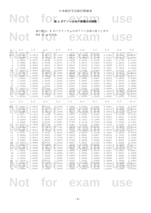## Not for <sub>表2: ポアソン分布の累積分布関数</sub>

Not  $f(X \leq x)$ <sup>The c</sup>exam use 表の値は,*X* がパラメータ *μ* のポアソン分布に従うときの  $P(X \leq x)$ である.

|                                  | $\ensuremath{\mathbf{0}}$ . $\ensuremath{\mathbf{5}}$ | $1\, . \, 0$     | 1.5              | 2.0              | 2.5              | $3.0$            | 3.5              | 4.0              | $4\,.5$          | $5.0$            |
|----------------------------------|-------------------------------------------------------|------------------|------------------|------------------|------------------|------------------|------------------|------------------|------------------|------------------|
| $x=0$                            | 0.6065                                                | 0.3679           | 0.2231           | 0.1353           | 0.0821           | 0.0498           | 0.0302           | 0.0183           | 0.0111           | 0.0067           |
| $\mathbf{1}$                     | 0.9098                                                | 0.7358           | 0.5578           | 0.4060           | 0.2873           | 0.1991           | 0.1359           | 0.0916           | 0.0611           | 0.0404           |
| $\sqrt{2}$                       | 0.9856                                                | 0.9197           | 0.8088           | 0.6767           | 0.5438           | 0.4232           | 0.3208           | 0.2381           | 0.1736           | 0.1247           |
| 3                                | 0.9982                                                | 0.9810           | 0.9344           | 0.8571           | 0.7576           | 0.6472           | 0.5366           | 0.4335           | 0.3423           | 0.2650           |
| $\overline{4}$                   | 0.9998                                                | 0.9963           | 0.9814           | 0.9473           | 0.8912           | 0.8153           | 0.7254           | 0.6288           | 0.5321           | 0.4405           |
| 5                                | 1.0000                                                | 0.9994           | 0.9955           | 0.9834           | 0.9580           | 0.9161           | 0.8576           | 0.7851           | 0.7029           | 0.6160           |
| $\overline{6}$<br>$\overline{7}$ | 1.0000                                                | 0.9999           | 0.9991           | 0.9955           | 0.9858           | 0.9665           | 0.9347           | 0.8893           | 0.8311           | 0.7622           |
|                                  | 1.0000<br>1.0000                                      | 1.0000<br>1.0000 | 0.9998<br>1.0000 | 0.9989           | 0.9958<br>0.9989 | 0.9881           | 0.9733<br>0.9901 | 0.9489<br>0.9786 | 0.9134<br>0.9597 | 0.8666           |
| $\,8\,$<br>9                     | 1.0000                                                | 1.0000           | 1.0000           | 0.9998<br>1.0000 | 0.9997           | 0.9962<br>0.9989 | 0.9967           | 0.9919           | 0.9829           | 0.9319<br>0.9682 |
| $10$                             | 1.0000                                                | 1.0000           | 1.0000           | 1.0000           | 0.9999           | 0.9997           | 0.9990           | 0.9972           | 0.9933           | 0.9863           |
| 11                               | 1.0000                                                | 1.0000           | 1.0000           | 1.0000           | 1.0000           | 0.9999           | 0.9997           | 0.9991           | 0.9976           | 0.9945           |
| 12                               | 1.0000                                                | 1.0000           | 1.0000           | 1.0000           | 1.0000           | 1.0000           | 0.9999           | 0.9997           | 0.9992           | 0.9980           |
| 13                               | 1.0000                                                | 1.0000           | 1.0000           | 1.0000           | 1.0000           | 1.0000           | 1.0000           | 0.9999           | 0.9997           | 0.9993           |
| 14                               | 1.0000                                                | 1,0000           | 1.0000           | 1.0000           | 1.0000           | 1.0000           | 1.0000           | 1.0000           | 0.9999           | 0.9998           |
| 15                               | 1.0000                                                | 1,0000           | 1.0000           | 1.0000           | 1.0000           | 1.0000           | 1.0000           | 1.0000           | 1.0000           | 0.9999           |
| 16                               | 1.0000                                                | 1.0000           | 1.0000           | 1.0000           | 1.0000           | 1.0000           | 1.0000           | 1.0000           | 1.0000           | 1.0000           |
|                                  |                                                       |                  |                  |                  |                  |                  |                  |                  |                  |                  |
| $\mu$ =                          | 5.5                                                   | $6 \, . \, 0$    | $6.5$            | $7\, . \, 0$     | 7.5              | $\,8$ . $0$      | $8.5\,$          | 9.0              | 9.5              | 10.0             |
| $x=0$                            | 0.0041                                                | 0.0025           | 0.0015           | 0.0009           | 0.0006           | 0.0003           | 0.0002           | 0.0001           | 0.0001           | 0.0000           |
| $\mathbf{1}$                     | 0.0266                                                | 0.0174           | 0.0113           | 0.0073           | 0.0047           | 0.0030           | 0.0019           | 0.0012           | 0.0008           | 0.0005           |
| $\overline{c}$                   | 0.0884                                                | 0.0620           | 0.0430           | 0.0296           | 0.0203           | 0.0138           | 0.0093           | 0.0062           | 0.0042           | 0.0028           |
| 3                                | 0.2017                                                | 0.1512           | 0.1118           | 0.0818           | 0.0591           | 0.0424           | 0.0301           | 0.0212           | 0.0149           | 0.0103           |
| 4                                | 0.3575                                                | 0.2851           | 0.2237           | 0.1730           | 0.1321           | 0.0996           | 0.0744           | 0.0550           | 0.0403           | 0.0293           |
| 5                                | 0.5289                                                | 0.4457           | 0.3690           | 0.3007           | 0.2414           | 0.1912           | 0.1496           | 0.1157           | 0.0885           | 0.0671           |
| 6                                | 0.6860                                                | 0.6063           | 0.5265           | 0.4497           | 0.3782           | 0.3134           | 0.2562           | 0.2068           | 0.1649           | 0.1301           |
| $\overline{7}$                   | 0.8095                                                | 0.7440           | 0.6728           | 0.5987           | 0.5246           | 0.4530           | 0.3856           | 0.3239           | 0.2687           | 0.2202           |
| $\,8\,$                          | 0.8944                                                | 0.8472           | 0.7916           | 0.7291           | 0.6620           | 0.5925           | 0.5231           | 0.4557           | 0.3918           | 0.3328           |
| $\mathcal{G}$                    | 0.9462                                                | 0.9161           | 0.8774           | 0.8305           | 0.7764           | 0.7166           | 0.6530           | 0.5874           | 0.5218           | 0.4579           |
| 10                               | 0.9747                                                | 0.9574           | 0.9332           | 0.9015           | 0.8622           | 0.8159           | 0.7634           | 0.7060           | 0.6453           | 0.5830           |
| 11                               | 0.9890                                                | 0.9799           | 0.9661           | 0.9467           | 0.9208           | 0.8881           | 0.8487           | 0.8030           | 0.7520           | 0.6968           |
| 12                               | 0.9955                                                | 0.9912           | 0.9840           | 0.9730           | 0.9573<br>0.9784 | 0.9362           | 0.9091           | 0.8758           | 0.8364           | 0.7916<br>0.8645 |
| 13<br>14                         | 0.9983                                                | 0.9964           | 0.9929<br>0.9970 | 0.9872           |                  | 0.9658           | 0.9486<br>0.9726 | 0.9261           | 0.8981           |                  |
| 15                               | 0.9994<br>0.9998                                      | 0.9986<br>0.9995 | 0.9988           | 0.9943<br>0.9976 | 0.9897<br>0.9954 | 0.9827<br>0.9918 | 0.9862           | 0.9585<br>0.9780 | 0.9400<br>0.9665 | 0.9165<br>0.9513 |
| 16                               | 0.9999                                                | 0.9998           | 0.9996           | 0.9990           | 0.9980           | 0.9963           | 0.9934           | 0.9889           | 0.9823           | 0.9730           |
| 17                               | 1.0000                                                | 0.9999           | 0.9998           | 0.9996           | 0.9992           | 0.9984           | 0.9970           | 0.9947           | 0.9911           | 0.9857           |
| 18                               | 1.0000                                                | 1.0000           | 0.9999           | 0.9999           | 0.9997           | 0.9993           | 0.9987           | 0.9976           | 0.9957           | 0.9928           |
| 19                               | 1.0000                                                | 1,0000           | 1.0000           | 1,0000           | 0.9999           | 0.9997           | 0.9995           | 0.9989           | 0.9980           | 0.9965           |
| 20                               | 1.0000                                                | 1.0000           | 1.0000           | 1.0000           | 1.0000           | 0.9999           | 0.9998           | 0.9996           | 0.9991           | 0.9984           |
| 21                               |                                                       |                  |                  |                  | 1.0000           | 1.0000           | 0.9999           | 0.9998           | 0.9996           | 0.9993           |
|                                  |                                                       |                  |                  |                  |                  |                  |                  |                  |                  |                  |
|                                  | 1.0000                                                | 1.0000           | 1.0000           | 1.0000           |                  |                  |                  |                  |                  |                  |
| 22<br>23                         | 1.0000<br>1.0000                                      | 1.0000<br>1.0000 | 1.0000<br>1.0000 | 1.0000<br>1.0000 | 1.0000<br>1.0000 | 1.0000<br>1.0000 | 1.0000<br>1.0000 | 0.9999<br>1.0000 | 0.9999<br>0.9999 | 0.9997<br>0.9999 |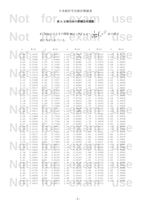## Not for <sub>表</sub>3: 正規分布の累積分布関数

 $Z \sim N(0,1)$  のときの関数  $\Phi(z) = P(Z \leq z) = \frac{1}{\sqrt{2\pi}} \int_{-\infty}^{z} e^{-\frac{1}{2}t^2} dt$  の値が<br>表に与えられている  $1_{12}$  $\frac{1}{e^2}$ 2 *z*  $e^{-\frac{t}{2}t^2}$  *dt* の値が 表に与えられている.

| $\boldsymbol{Z}$ | $\Phi(z)$ | z    | $\Phi(z)$ | Ζ    | $\Phi(z)$       | $\boldsymbol{Z}$ | $\Phi(z)$ | $\boldsymbol{Z}$ | $\Phi\left(\,z\,\right)$ |  |
|------------------|-----------|------|-----------|------|-----------------|------------------|-----------|------------------|--------------------------|--|
| 0.00             | 0.5000    | 0.50 | 0.6915    | 1.00 | 0.8413          | 1.50             | 0.9332    | 2.00             | 0.9772                   |  |
| 0.01             | 0.5040    | 0.51 | 0.6950    | 1.01 | 0.8438          | 1.51             | 0.9345    | 2.02             | 0.9783                   |  |
| 0.02             | 0.5080    | 0.52 | 0.6985    | 1.02 | 0.8461          | 1.52             | 0.9357    | 2.04             | 0.9793                   |  |
| 0.03             | 0.5120    | 0.53 | 0.7019    | 1.03 | 0.8485          | 1.53             | 0.9370    | 2.06             | 0.9803                   |  |
| 0.04             | 0.5160    | 0.54 | 0.7054    | 1.04 | 0.8508          | 1.54             | 0.9382    | 2.08             | 0.9812                   |  |
| 0.05             | 0.5199    | 0.55 | 0.7088    | 1.05 | 0.8531          | 1.55             | 0.9394    | 2.10             | 0.9821                   |  |
| 0.06             | 0.5239    | 0.56 | 0.7123    | 1.06 | 0.8554          | 1.56             | 0.9406    | 2.12             | 0.9830                   |  |
| 0.07             | 0.5279    | 0.57 | 0.7157    | 1.07 | 0.8577          | 1.57             | 0.9418    | 2.14             | 0.9838                   |  |
| 0.08             | 0.5319    | 0.58 | 0.7190    | 1.08 | 0.8599          | 1.58             | 0.9429    | 2.16             | 0.9846                   |  |
| 0.09             | 0.5359    | 0.59 | 0.7224    | 1.09 | 0.8621          | 1.59             | 0.9441    | 2.18             | 0.9854                   |  |
| 0.10             | 0.5398    | 0.60 | 0.7257    | 1.10 | 0.8643          | 1.60             | 0.9452    | 2.20             | 0.9861                   |  |
| 0.11             | 0.5438    | 0.61 | 0.7291    | 1.11 | 0.8665          | 1.61             | 0.9463    | 2.22             | 0.9868                   |  |
| 0.12             | 0.5478    | 0.62 | 0.7324    | 1.12 | 0.8686          | 1.62             | 0.9474    | 2.24             | 0.9875                   |  |
| 0.13             | 0.5517    | 0.63 | 0.7357    | 1.13 | 0.8708          | 1.63             | 0.9484    | 2.26             | 0.9881                   |  |
| 0.14             | 0.5557    | 0.64 | 0.7389    | 1.14 | 0.8729          | 1.64             | 0.9495    | 2.28             | 0.9887                   |  |
| 0.15             | 0.5596    | 0.65 | 0.7422    | 1.15 | 0.8749          | 1.65             | 0.9505    | 2.30             | 0.9893                   |  |
| 0.16             | 0.5636    | 0.66 | 0.7454    | 1.16 | 0.8770          | 1.66             | 0.9515    | 2.32             | 0.9898                   |  |
| 0.17             | 0.5675    | 0.67 | 0.7486    | 1.17 | 0.8790          | 1.67             | 0.9525    | 2.34             | 0.9904                   |  |
| 0.18             | 0.5714    | 0.68 | 0.7517    | 1.18 | 0.8810          | 1.68             | 0.9535    | 2.36             | 0.9909                   |  |
| 0.19             | 0.5753    | 0.69 | 0.7549    | 1.19 | 0.8830          | 1.69             | 0.9545    | 2.38             | 0.9913                   |  |
| 0.20             | 0.5793    | 0.70 | 0.7580    | 1.20 | 0.8849          | 1.70             | 0.9554    | 2.40             | 0.9918                   |  |
| 0.21             | 0.5832    | 0.71 | 0.7611    | 1.21 | 0.8869          | 1.71             | 0.9564    | 2.42             | 0.9922                   |  |
| 0.22             | 0.5871    | 0.72 | 0.7642    | 1.22 | 0.8888          | 1.72             | 0.9573    | 2.44             | 0.9927                   |  |
| 0.23             | 0.5910    | 0.73 | 0.7673    | 1.23 | 0.8907          | 1.73             | 0.9582    | 2.46             | 0.9931                   |  |
| 0.24             | 0.5948    | 0.74 | 0.7704    | 1.24 | 0.8925          | 1.74             | 0.9591    | 2.48             | 0.9934                   |  |
| 0.25             | 0.5987    | 0.75 | 0.7734    | 1.25 | 0.8944          | 1.75             | 0.9599    | 2.50             | 0.9938                   |  |
| 0.26             | 0.6026    | 0.76 | 0.7764    | 1.26 | 0.8962          | 1.76             | 0.9608    | 2.55             | 0.9946                   |  |
| 0.27             | 0.6064    | 0.77 | 0.7794    | 1.27 | 0.8980          | 1.77             | 0.9616    | 2.60             | 0.9953                   |  |
| 0.28             | 0.6103    | 0.78 | 0.7823    | 1.28 | 0.8997          | 1.78             | 0.9625    | 2.65             | 0.9960                   |  |
| 0.29             | 0.6141    | 0.79 | 0.7852    | 1.29 | 0.9015          | 1.79             | 0.9633    | 2.70             | 0.9965                   |  |
| 0.30             | 0.6179    | 0.80 | 0.7881    | 1.30 | 0.9032          | 1.80             | 0.9641    | 2.75             | 0.9970                   |  |
| 0.31             | 0.6217    | 0.81 | 0.7910    | 1.31 | 0.9049          | 1.81             | 0.9649    | 2.80             | 0.9974                   |  |
| 0.32             | 0.6255    | 0.82 | 0.7939    | 1.32 | 0.9066          | 1.82             | 0.9656    | 2.85             | 0.9978                   |  |
| 0.33             | 0.6293    | 0.83 | 0.7967    | 1.33 | 0.9082          | 1.83             | 0.9664    | 2.90             | 0.9981                   |  |
| 0.34             | 0.6331    | 0.84 | 0.7995    | 1.34 | 0.9099          | 1.84             | 0.9671    | 2.95             | 0.9984                   |  |
| 0.35             | 0.6368    | 0.85 | 0.8023    | 1.35 | 0.9115          | 1.85             | 0.9678    | 3.00             | 0.9987                   |  |
| 0.36             | 0.6406    | 0.86 | 0.8051    | 1.36 | 0.9131          | 1.86             | 0.9686    | 3.05             | 0.9989                   |  |
| 0.37             | 0.6443    | 0.87 | 0.8078    | 1.37 | 0.9147          | 1.87             | 0.9693    | 3.10             | 0.9990                   |  |
| 0.38             | 0.6480    | 0.88 | 0.8106    | 1.38 | 0.9162          | 1.88             | 0.9699    | 3.15             | 0.9992                   |  |
| 0.39             | 0.6517    | 0.89 | 0.8133    | 1.39 | 0.9177          | 1.89             | 0.9706    | 3.20             | 0.9993                   |  |
| 0.40             | 0.6554    | 0.90 | 0.8159    | 1.40 | 0.9192          | 1.90             | 0.9713    | 3.25             | 0.9994                   |  |
| 0.41             | 0.6591    | 0.91 | 0.8186    | 1.41 | 0.9207          | 1.91             | 0.9719    | 3.30             | 0.9995                   |  |
| 0.42             | 0.6628    | 0.92 | 0.8212    | 1.42 | $0.9222 - 1.92$ |                  | 0.9726    | 3.35             | 0.9996                   |  |
| 0.43             | 0.6664    | 0.93 | 0.8238    | 1.43 | 0.9236          | 1.93             | 0.9732    | 3.40             | 0.9997                   |  |
| 0.44             | 0.6700    | 0.94 | 0.8264    | 1.44 | 0.9251          | 1.94             | 0.9738    | 3.50             | 0.9998                   |  |
| 0.45             | 0.6736    | 0.95 | 0.8289    | 1.45 | 0.9265          | 1.95             | 0.9744    | 3.60             | 0.9998                   |  |
| 0.46             | 0.6772    | 0.96 | 0.8315    | 1.46 | 0.9279          | 1.96             | 0.9750    | 3.70             | 0.9999                   |  |
| 0.47             | 0.6808    | 0.97 | 0.8340    | 1.47 | 0.9292          | 1.97             | 0.9756    | 3.80             | 0.9999                   |  |
| 0.48             | 0.6844    | 0.98 | 0.8365    | 1.48 | 0.9306          | 1.98             | 0.9761    | 3.90             | 1.0000                   |  |
| 0.49             | 0.6879    | 0.99 | 0.8389    | 1.49 | 0.9319          | 1.99             | 0.9767    | 4.00             | 1.0000                   |  |
|                  | 0.6915    | 1.00 | 0.8413    | 1.50 | 0.9332          | 2.00             | 0.9772    |                  |                          |  |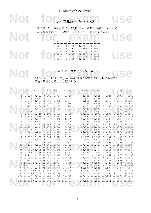### Not for  $\mathbf{F}_{\text{A}}$ 表 **4:** 正規分布のパーセント点

表の値 *z* は,確率変数 *Z* ~ N(0,1) がそれを超える確率が *p* となる

|  | 0.5000<br>0.0000<br>0.4000<br>0.2533<br>0.3000<br>0.5244<br>0.2000<br>0.8416<br>0.1500<br>1.0364<br>0.1000<br>1.2816 | 0.0500<br>0.0250<br>0.0100<br>0.0050<br>0.0010<br>0.0005 | 1.6449<br>1.9600<br>2.3263<br>2.5758<br>3.0902<br>3.2905 |  |
|--|----------------------------------------------------------------------------------------------------------------------|----------------------------------------------------------|----------------------------------------------------------|--|

### 表 **5:** *χ <sup>2</sup>* 分布のパーセント点

Not for the set of the set of the set of the set of the set of the set of the set of the set of the set of the set of the set of the set of the set of the set of the set of the set of the set of the set of the set of th 表頭の数値となるような値である.

| $\mathcal V$ | 0.995 | .990                            | 0.975               | 0.950        | 0.900                                   | 0.100  | 0.050         | 0.025  | 0.010                                   | 0.005     |
|--------------|-------|---------------------------------|---------------------|--------------|-----------------------------------------|--------|---------------|--------|-----------------------------------------|-----------|
|              | 0.000 | 0.000                           | 0.001               | 0.004        | 0.016                                   | 2.706  | 3.841         | 5.024  | 6.635                                   | 7.879     |
| 2            | 0.010 | 0.020                           | 0.051               | 0.103        | 0.211                                   | 4.605  | 5.991         | 7.378  | 9.210                                   | 10.597    |
| 3            | 0.072 | 0.115                           | 0.216               | 0.352        | 0.584                                   | 6.251  | 7.815         | 9.348  | 11.345                                  | 12.838    |
| 4            | 0.207 | 0.297                           | 0.484               | 0.711        | 1.064                                   | 7.779  | 9.488         | 11.143 | 13.277                                  | 14.860    |
| 5            | 0.412 | 0.554                           | 0.831               | 1.145        | 1.610                                   | 9.236  | 11.070        | 12.833 | 15.086                                  | 16.750    |
| 6            | 0.676 | 0.872                           | 1.237               | 1.635        | 2.204                                   | 10.645 | 12.592        | 14.449 | 16.812                                  | $-18.548$ |
| 7            | 0.989 | 1.239                           | 1.690               | 2.167        | 2.833                                   | 12.017 | 14.067        | 16.013 | 18.475                                  | 20.278    |
| 8            | 1.344 | 1.646                           | 2.180               | 2.733        | 3.490                                   | 13.362 | 15.507        | 17.535 | 20.090                                  | 21.955    |
| 9            | 1.735 | 2.088                           | 2.700               | 3.325        | 4.168                                   | 14.684 | 16.919        | 19.023 | 21.666                                  | 23.589    |
| 10           | 2.156 | 2.558                           | 3.247               | 3.940        | 4.865                                   | 15.987 | 18.307        | 20.483 | 23.209                                  | 25.188    |
| 11           | 2.603 | 3.053                           | 3.816               | 4.575        | 5.578                                   | 17.275 | 19.675        | 21.920 | 24.725                                  | 26.757    |
| 12           | 3.074 | 3.571                           | 4.404               | 5.226        | 6.304                                   | 18.549 | 21.026        | 23.337 | 26.217                                  | 28.300    |
| 13           | 3.565 | 4.107                           | 5.009               | 5.892        | 7.042                                   | 19.812 | 22.362        | 24.736 | 27.688                                  | 29.819    |
| 14           | 4.075 | 4.660                           | 5.629               | 6.571        | 7.790                                   | 21.064 | 23.685        | 26.119 | 29.141                                  | 31.319    |
| 15           | 4.601 | 5.229                           | 6.262               | 7.261        | 8.547                                   | 22.307 | 24.996        | 27.488 | 30.578                                  | $-32.801$ |
| 16           | 5.142 | 5.812                           | 6.908               | 7.962        | 9.312                                   | 23.542 | 26.296        | 28.845 | 32.000                                  | 34.267    |
| 17           | 5.697 | 6.408                           | 7.564               | 8.672        | 10.085                                  | 24.769 | 27.587        | 30.191 | 33.409                                  | 35.718    |
| 18           | 6.265 | 7.015                           | 8.231               | 9.390        | 10.865                                  | 25.989 | 28.869        | 31.526 | 34.805                                  | 37.156    |
| 19           | 6.844 | 7.633                           |                     | 8.907 10.117 | 11.651                                  | 27.204 | 30.144        | 32.852 | 36.191                                  | 38.582    |
| 20           | 7.434 | 8.260                           |                     | 9.591 10.851 | 12.443                                  | 28.412 | 31.410        | 34.170 | 37.566                                  | 39.997    |
| 22           | 8.643 |                                 | 9.542 10.982 12.338 |              | 14.041                                  | 30.813 | 33.924        | 36.781 | 40.289                                  | 42.796    |
| 24           |       | 9.886 10.856 12.401 13.848      |                     |              | 15.659                                  | 33.196 | 36.415        | 39.364 | 42.980                                  | $-45.559$ |
|              |       | 26 11.160 12.198 13.844 15.379  |                     |              | 17.292                                  | 35.563 | 38.885        | 41.923 | 45.642                                  | 48.290    |
|              |       | 28 12.461 13.565 15.308 16.928  |                     |              | 18.939                                  | 37.916 | 41.337        | 44.461 | 48.278                                  | 50.993    |
|              |       | 30 13.787 14.953 16.791 18.493  |                     |              | 20.599                                  | 40.256 | 43.773        | 46.979 | 50.892                                  | 53.672    |
|              |       | 40 20.707 22.164 24.433 26.509  |                     |              | 29.051                                  | 51.805 | 55.758        | 59.342 | 63.691                                  | 66.766    |
|              |       | 50 27.991 29.707 32.357 34.764  |                     |              | 37.689                                  | 63.167 | 67.505        | 71.420 | 76.154                                  | 79.490    |
|              |       | 60 35.534 37.485 40.482 43.188  |                     |              | 46.459                                  | 74.397 | 79.082        | 83.298 | 88.379                                  | 91.952    |
|              |       | 70 43.275 45.442 48.758 51.739  |                     |              | 55.329                                  |        | 85.527 90.531 |        | 95.023 100.425 104.215                  |           |
|              |       | 80 51.172 53.540 57.153 60.391  |                     |              | 64.278                                  |        |               |        | 96.578 101.879 106.629 112.329 116.321  |           |
|              |       | 90 59.196 61.754 65.647 69.126  |                     |              | 73.291                                  |        |               |        | 107.565 113.145 118.136 124.116 128.299 |           |
|              |       | 100 67.328 70.065 74.222 77.929 |                     |              | 82.358                                  |        |               |        | 118.498 124.342 129.561 135.807 140.169 |           |
|              |       | 110 75.550 78.458 82.867 86.792 |                     |              | 91.471                                  |        |               |        | 129.385 135.480 140.917 147.414 151.948 |           |
|              |       |                                 |                     |              | 120 83.852 86.923 91.573 95.705 100.624 |        |               |        | 140.233 146.567 152.211 158.950 163.648 |           |
|              |       |                                 |                     |              |                                         |        |               |        |                                         |           |
|              |       |                                 |                     |              |                                         |        |               |        |                                         |           |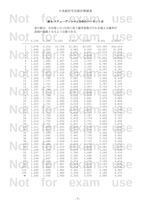## NOT 表6:ステューデントの*t* 分布のパーセント点

表の値は,自由度 *ν* の *t* 分布に従う確率変数がそれを超える確率が 表頭の数値となるような値である.

|                   |                |                | 表頭の致値となるよりな値である. |                 |                |                |                |
|-------------------|----------------|----------------|------------------|-----------------|----------------|----------------|----------------|
|                   |                |                |                  |                 |                |                |                |
|                   | 0.100          | 0.050          | 0.025            | 0.010           | 0.005          | 0.001          | 0.0005         |
|                   | 3.078          | 6.314          |                  |                 | 63.657         | 318.309        | 636.619        |
| 1<br>$\mathbf{2}$ | 1.886          | 2.920          | 12.706<br>4.303  | 31.821<br>6.965 | 9.925          | 22.327         | 31.599         |
| 3                 | 1.638          | 2.353          | 3.182            | 4.541           | 5.841          | 10.215         | 12.924         |
| 4                 | 1.533          | 2.132          | 2.776            | 3.747           | 4.604          | 7.173          | 8.610          |
| 5                 | 1.476          | 2.015          | 2.571            | 3.365           | 4.032          | 5.893          | 6.869          |
| 6                 | 1.440          | 1.943          | 2.447            | 3.143           | 3.707          | 5.208          | 5.959          |
| 7                 | 1.415          | 1.895          | 2.365            | 2.998           | 3.499          | 4.785          | 5.408          |
| 8                 | 1.397          | 1.860          | 2.306            | 2.896           | 3.355          | 4.501          | 5.041          |
| 9                 | 1.383          | 1.833          | 2.262            | 2.821           | 3.250          | 4.297          | 4.781          |
| 10                | 1.372          | 1.812          | 2.228            | 2.764           | 3.169          | 4.144          | 4.587          |
| 11                | 1.363          | 1.796          | 2.201            | 2.718           | 3.106          | 4.025          | 4.437          |
| 12                | 1.356          | 1.782          | 2.179            | 2.681           | 3.055          | 3.930          | 4.318          |
| 13                | 1.350          | 1.771          | 2.160            | 2.650           | 3.012          | 3.852          | 4.221          |
| 14                | 1.345          | 1.761          | 2.145            | 2.624           | 2.977          | 3.787          | 4.140          |
| 15                | 1.341          | 1.753          | 2.131            | 2.602           | 2.947          | 3.733          | 4.073          |
| 16                | 1.337          | 1.746          | 2.120            | 2.583           | 2.921          | 3.686          | 4.015          |
| 17                | 1.333          | 1.740          | 2.110            | 2.567           | 2.898          | 3.646          | 3.965          |
| 18                | 1.330          | 1.734          | 2.101            | 2.552           | 2.878          | 3.610          | 3.922          |
| 19                | 1.328          | 1.729          | 2.093            | 2.539           | 2.861          | 3.579          | 3.883          |
| 20                | 1.325          | 1.725          | 2.086            | 2.528           | 2.845          | 3.552          | 3.850          |
| 21                | 1.323          | 1.721          | 2.080            | 2.518           | 2.831          | 3.527          | 3.819          |
| 22                | 1.321          | 1.717          | 2.074            | 2.508           | 2.819          | 3.505          | 3.792          |
| 23                | 1.319          | 1.714          | 2.069            | 2.500           | 2.807          | 3.485          | 3.768          |
| 24                | 1.318          | 1.711          | 2.064            | 2.492           | 2.797          | 3.467          | 3.745          |
| 25                | 1.316          | 1.708          | 2.060            | 2.485           | 2.787          | 3.450          | 3.725          |
| 26                | 1.315<br>1.314 | 1.706          | 2.056            | 2.479           | 2.779          | 3.435          | 3.707          |
| 27<br>28          | 1.313          | 1.703<br>1.701 | 2.052<br>2.048   | 2.473<br>2.467  | 2.771<br>2.763 | 3.421<br>3.408 | 3.690<br>3.674 |
| 29                | 1.311          | 1.699          | 2.045            | 2.462           | 2.756          | 3.396          | 3.659          |
| 30                | 1.310          | 1.697          | 2.042            | 2.457           | 2.750          | 3.385          | 3.646          |
| 32                | 1.309          | 1.694          | 2.037            | 2.449           | 2.738          | 3.365          | 3.622          |
| 34                | 1.307          | 1.691          | 2.032            | 2.441           | 2.728          | 3.348          | 3.601          |
| 36                | 1.306          | 1.688          | 2.028            | 2.434           | 2.719          | 3.333          | 3.582          |
| 38                | 1.304          | 1.686          | 2.024            | 2.429           | 2.712          | 3.319          | 3.566          |
| 40                | 1.303          | 1.684          | 2.021            | 2.423           | 2.704          | 3.307          | $-3.551$       |
| 45                | 1.301          | 1.679          | 2.014            | 2.412           | 2.690          | 3.281          | 3.520          |
| $50 -$            | 1.299          | 1.676          | 2.009            | 2.403           | 2.678          | 3.261          | 3.496          |
| 55                | 1.297          | 1.673          | 2.004            | 2.396           | 2.668          | 3.245          | 3.476          |
| 60                | 1.296          | 1.671          | 2.000            | 2.390           | 2.660          | 3.232          | 3.460          |
| 70                | 1.294          | 1.667          | 1.994            | 2.381           | 2.648          | 3.211          | 3.435          |
| 80                | 1.292          | 1.664          | 1.990            | 2.374           | 2.639          | 3.195          | 3.416          |
| 90                | 1.291          | 1.662          | 1.987            | 2.368           | 2.632          | 3.183          | 3.402          |
| 100               | 1.290          | 1.660          | 1.984            | 2.364           | 2.626          | 3.174          | 3.390          |
| 110               | 1.289          | 1.659          | 1.982            | 2.361           | 2.621          | 3.166          | 3.381          |
| 120               | 1.289          | 1.658          | 1.980            | 2.358           | 2.617          | 3.160          | 3.373          |
| $\infty$          | 1.282          | 1.645          | 1.960            | 2.326           | 2.576          | 3.090          | 3.291          |
|                   |                |                |                  |                 |                |                |                |
|                   |                |                |                  |                 | <b>EXEIN</b>   |                | use            |
|                   |                |                |                  |                 |                |                |                |
|                   |                |                |                  |                 |                |                |                |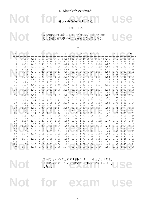Not for **EXAMPLE USE** 

表 **7:** *F* 分布のパーセント点

上側 10% 点

表の値は、自由度 v<sub>1</sub>, v<sub>2</sub> の F 分布に従う確率変数が<br>それを超える確率が 0.10 となるような値である. 表の値は,自由度 *ν*1, *ν*<sup>2</sup> の *F* 分布に従う確率変数が それを超える確率が 0.10 となるような値である.

|              |      |             |                |                |             |       |      | $v_1$                         |      |      |      |      |                   |          |
|--------------|------|-------------|----------------|----------------|-------------|-------|------|-------------------------------|------|------|------|------|-------------------|----------|
| $V_2$        | 1    | 2           | 3 <sup>1</sup> | $\overline{4}$ | 5           | 6     |      | $\,8\,$                       | 9    | 10   | 12   | 18   | 24                | $\infty$ |
| $\mathbf{1}$ |      | 39.86 49.50 | 53.59          |                | 55.83 57.24 | 58.20 |      | 58.91 59.44 59.86 60.19 60.71 |      |      |      |      | 61.57 62.00 63.33 |          |
| $\mathbf{2}$ | 8.53 | 9.00        | 9.16           | 9.24           | 9.29        | 9.33  | 9.35 | 9.37                          | 9.38 | 9.39 | 9.41 | 9.44 | 9.45              | 9.49     |
| 3            | 5.54 | 5.46        | 5.39           | 5.34           | 5.31        | 5.28  | 5.27 | 5.25                          | 5.24 | 5.23 | 5.22 | 5.19 | 5.18              | 5.13     |
| 4            | 4.54 | 4.32        | 4.19           | 4.11           | 4.05        | 4.01  | 3.98 | 3.95                          | 3.94 | 3.92 | 3.90 | 3.85 | 3.83              | 3.76     |
| 5            | 4.06 | 3.78        | 3.62           | 3.52           | 3.45        | 3.40  | 3.37 | 3.34                          | 3.32 | 3.30 | 3.27 | 3.22 | 3.19              | 3.10     |
| $6\,$        | 3.78 | 3.46        | 3.29           | 3.18           | 3.11        | 3.05  | 3.01 | 2.98                          | 2.96 | 2.94 | 2.90 | 2.85 | 2.82              | 2.72     |
| 7            | 3.59 | 3.26        | 3.07           | 2.96           | 2.88        | 2.83  | 2.78 | 2.75                          | 2.72 | 2.70 | 2.67 | 2.61 | 2.58              | 2.47     |
| 8            | 3.46 | 3.11        | 2.92           | 2.81           | 2.73        | 2.67  | 2.62 | 2.59                          | 2.56 | 2.54 | 2.50 | 2.44 | 2.40              | 2.29     |
| 9            | 3.36 | 3.01        | 2.81           | 2.69           | 2.61        | 2.55  | 2.51 | 2.47                          | 2.44 | 2.42 | 2.38 | 2.31 | 2.28              | 2.16     |
| 10           | 3.29 | 2.92        | 2.73           | 2.61           | 2.52        | 2.46  | 2.41 | 2.38                          | 2.35 | 2.32 | 2.28 | 2.22 | 2.18              | 2.06     |
| 11           | 3.23 | 2.86        | 2.66           | 2.54           | 2.45        | 2.39  | 2.34 | 2.30                          | 2.27 | 2.25 | 2.21 | 2.14 | 2.10              | 1.97     |
| 12           | 3.18 | 2.81        | 2.61           | 2.48           | 2.39        | 2.33  | 2.28 | 2.24                          | 2.21 | 2.19 | 2.15 | 2.08 | 2.04              | 1.90     |
| 13           | 3.14 | 2.76        | 2.56           | 2.43           | 2.35        | 2.28  | 2.23 | 2.20                          | 2.16 | 2.14 | 2.10 | 2.02 | 1.98              | 1.85     |
| 14           | 3.10 | 2.73        | 2.52           | 2.39           | 2.31        | 2.24  | 2.19 | 2.15                          | 2.12 | 2.10 | 2.05 | 1.98 | 1.94              | 1.80     |
| 15           | 3.07 | 2.70        | 2.49           | 2.36           | 2.27        | 2.21  | 2.16 | 2.12                          | 2.09 | 2.06 | 2.02 | 1.94 | 1.90              | 1.76     |
| 16           | 3.05 | 2.67        | 2.46           | 2.33           | 2.24        | 2.18  | 2.13 | 2.09                          | 2.06 | 2.03 | 1.99 | 1.91 | 1.87              | 1.72     |
| 17           | 3.03 | 2.64        | 2.44           | 2.31           | 2.22        | 2.15  | 2.10 | 2.06                          | 2.03 | 2.00 | 1.96 | 1.88 | 1.84              | 1.69     |
| 18           | 3.01 | 2.62        | 2.42           | 2.29           | 2.20        | 2.13  | 2.08 | 2.04                          | 2.00 | 1.98 | 1.93 | 1.85 | 1.81              | 1.66     |
| 19           | 2.99 | 2.61        | 2.40           | 2.27           | 2.18        | 2.11  | 2.06 | 2.02                          | 1.98 | 1.96 | 1.91 | 1.83 | 1.79              | 1.63     |
| 20           | 2.97 | 2.59        | 2.38           | 2.25           | 2.16        | 2.09  | 2.04 | 2.00                          | 1.96 | 1.94 | 1.89 | 1.81 | 1.77              | 1.61     |
| 22           | 2.95 | 2.56        | 2.35           | 2.22           | 2.13        | 2.06  | 2.01 | 1.97                          | 1.93 | 1.90 | 1.86 | 1.78 | 1.73              | 1.57     |
| 24           | 2.93 | 2.54        | 2.33           | 2.19           | 2.10        | 2.04  | 1.98 | 1.94                          | 1.91 | 1.88 | 1.83 | 1.75 | 1.70              | 1.53     |
| 26           | 2.91 | 2.52        | 2.31           | 2.17           | 2.08        | 2.01  | 1.96 | 1.92                          | 1.88 | 1.86 | 1.81 | 1.72 | 1.68              | 1.50     |
| 28           | 2.89 | 2.50        | 2.29           | 2.16           | 2.06        | 2.00  | 1.94 | 1.90                          | 1.87 | 1.84 | 1.79 | 1.70 | 1.66              | 1.48     |
| 30           | 2.88 | 2.49        | 2.28           | 2.14           | 2.05        | 1.98  | 1.93 | 1.88                          | 1.85 | 1.82 | 1.77 | 1.69 | 1.64              | 1.46     |
| 40           | 2.84 | 2.44        | 2.23           | 2.09           | 2.00        | 1.93  | 1.87 | 1.83                          | 1.79 | 1.76 | 1.71 | 1.62 | 1.57              | 1.38     |
| 50           | 2.81 | 2.41        | 2.20           | 2.06           | 1.97        | 1.90  | 1.84 | 1.80                          | 1.76 | 1.73 | 1.68 | 1.59 | 1.54              | 1.33     |
| 60           | 2.79 | 2.39        | 2.18           | 2.04           | 1.95        | 1.87  | 1.82 | 1.77                          | 1.74 | 1.71 | 1.66 | 1.56 | 1.51              | 1.29     |
| 70           | 2.78 | 2.38        | 2.16           | 2.03           | 1.93        | 1.86  | 1.80 | 1.76                          | 1.72 | 1.69 | 1.64 | 1.55 | 1.49              | 1.27     |
| 80           | 2.77 | 2.37        | 2.15           | 2.02           | 1.92        | 1.85  | 1.79 | 1.75                          | 1.71 | 1.68 | 1.63 | 1.53 | 1.48              | 1.24     |
| 90           | 2.76 | 2.36        | 2.15           | 2.01           | 1.91        | 1.84  | 1.78 | 1.74                          | 1.70 | 1.67 | 1.62 | 1.52 | 1.47              | 1.23     |
| 100          | 2.76 | 2.36        | 2.14           | 2.00           | 1.91        | 1.83  | 1.78 | 1.73                          | 1.69 | 1.66 | 1.61 | 1.52 | 1.46              | 1.21     |
| 110          | 2.75 | 2.35        | 2.13           | 2.00           | 1.90        | 1.83  | 1.77 | 1.73                          | 1.69 | 1.66 | 1.61 | 1.51 | 1.45              | 1.20     |
| 120          | 2.75 | 2.35        | 2.13           | 1.99           | 1.90        | 1.82  | 1.77 | 1.72                          | 1.68 | 1.65 | 1.60 | 1.50 | 1.45              | 1.19     |
| $\infty$     | 2.71 | 2.30        | 2.08           | 1.94           | 1.85        | 1.77  | 1.72 | 1.67                          | 1.63 | 1.60 | 1.55 | 1.44 | 1.38              | 1.00     |

自由度  $v_1, v_2$ のF分布の上側パーセント点をf とすると,<br>自由度  $v_2, v_1$ のF分布の対応する下側パーセント点は 1/f<br>である. 自由度 *ν*1, *ν*<sup>2</sup> の *F* 分布の上側パーセント点を *ƒ* とすると, 自由度 *ν*2, *ν*<sup>1</sup> の *F* 分布の対応する下側パーセント点は 1/ƒ である.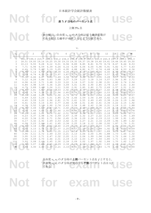表 **7:** *F* 分布のパーセント点

上側 5% 点

Not for **EXAMPLE USE** 

表の値は、自由度 v<sub>1</sub>, v<sub>2</sub> の F 分布に従う確率変数が<br>それを超える確率が 0.05 となるような値である. 表の値は,自由度 *ν*1, *ν*<sup>2</sup> の *F* 分布に従う確率変数が それを超える確率が 0.05 となるような値である.

|              |              |             |       |                                                                         |      |                                           | $v_1$ |      |                |      |       |      |             |          |
|--------------|--------------|-------------|-------|-------------------------------------------------------------------------|------|-------------------------------------------|-------|------|----------------|------|-------|------|-------------|----------|
| $v_2$        | $\mathbf{1}$ | 2           | 3     | 4                                                                       | 5    | 6                                         |       | 8    | $\overline{9}$ | 10   | 12    | 18   | 24          | $\infty$ |
| $\mathbf{1}$ |              | 161.4 199.5 | 215.7 |                                                                         |      | 224.6 230.2 234.0 236.8 238.9 240.5 241.9 |       |      |                |      | 243.9 |      | 247.3 249.1 | 254.3    |
| $\mathbf{2}$ |              |             |       | 18.51 19.00 19.16 19.25 19.30 19.33 19.35 19.37 19.38 19.40 19.41 19.44 |      |                                           |       |      |                |      |       |      | 19.45 19.50 |          |
| 3            | 10.13        | 9.55        | 9.28  | 9.12                                                                    | 9.01 | 8.94                                      | 8.89  | 8.85 | 8.81           | 8.79 | 8.74  | 8.67 | 8.64        | 8.53     |
| 4            | 7.71         | 6.94        | 6.59  | 6.39                                                                    | 6.26 | 6.16                                      | 6.09  | 6.04 | 6.00           | 5.96 | 5.91  | 5.82 | 5.77        | 5.63     |
| 5            | 6.61         | 5.79        | 5.41  | 5.19                                                                    | 5.05 | 4.95                                      | 4.88  | 4.82 | 4.77           | 4.74 | 4.68  | 4.58 | 4.53        | 4.36     |
| $6\,$        | 5.99         | 5.14        | 4.76  | 4.53                                                                    | 4.39 | 4.28                                      | 4.21  | 4.15 | 4.10           | 4.06 | 4.00  | 3.90 | 3.84        | 3.67     |
| 7            | 5.59         | 4.74        | 4.35  | 4.12                                                                    | 3.97 | 3.87                                      | 3.79  | 3.73 | 3.68           | 3.64 | 3.57  | 3.47 | 3.41        | 3.23     |
| 8            | 5.32         | 4.46        | 4.07  | 3.84                                                                    | 3.69 | 3.58                                      | 3.50  | 3.44 | 3.39           | 3.35 | 3.28  | 3.17 | 3.12        | 2.93     |
| 9            | 5.12         | 4.26        | 3.86  | 3.63                                                                    | 3.48 | 3.37                                      | 3.29  | 3.23 | 3.18           | 3.14 | 3.07  | 2.96 | 2.90        | 2.71     |
| 10           | 4.96         | 4.10        | 3.71  | 3.48                                                                    | 3.33 | 3.22                                      | 3.14  | 3.07 | 3.02           | 2.98 | 2.91  | 2.80 | 2.74        | 2.54     |
| 11           | 4.84         | 3.98        | 3.59  | 3.36                                                                    | 3.20 | 3.09                                      | 3.01  | 2.95 | 2.90           | 2.85 | 2.79  | 2.67 | 2.61        | 2.40     |
| 12           | 4.75         | 3.89        | 3.49  | 3.26                                                                    | 3.11 | 3.00                                      | 2.91  | 2.85 | 2.80           | 2.75 | 2.69  | 2.57 | 2.51        | 2.30     |
| 13           | 4.67         | 3.81        | 3.41  | 3.18                                                                    | 3.03 | 2.92                                      | 2.83  | 2.77 | 2.71           | 2.67 | 2.60  | 2.48 | 2.42        | 2.21     |
| 14           | 4.60         | 3.74        | 3.34  | 3.11                                                                    | 2.96 | 2.85                                      | 2.76  | 2.70 | 2.65           | 2.60 | 2.53  | 2.41 | 2.35        | 2.13     |
| 15           | 4.54         | 3.68        | 3.29  | 3.06                                                                    | 2.90 | 2.79                                      | 2.71  | 2.64 | 2.59           | 2.54 | 2.48  | 2.35 | 2.29        | 2.07     |
| 16           | 4.49         | 3.63        | 3.24  | 3.01                                                                    | 2.85 | 2.74                                      | 2.66  | 2.59 | 2.54           | 2.49 | 2.42  | 2.30 | 2.24        | 2.01     |
| 17           | 4.45         | 3.59        | 3.20  | 2.96                                                                    | 2.81 | 2.70                                      | 2.61  | 2.55 | 2.49           | 2.45 | 2.38  | 2.26 | 2.19        | 1.96     |
| 18           | 4.41         | 3.55        | 3.16  | 2.93                                                                    | 2.77 | 2.66                                      | 2.58  | 2.51 | 2.46           | 2.41 | 2.34  | 2.22 | 2.15        | 1.92     |
| 19           | 4.38         | 3.52        | 3.13  | 2.90                                                                    | 2.74 | 2.63                                      | 2.54  | 2.48 | 2.42           | 2.38 | 2.31  | 2.18 | 2.11        | 1.88     |
| 20           | 4.35         | 3.49        | 3.10  | 2.87                                                                    | 2.71 | 2.60                                      | 2.51  | 2.45 | 2.39           | 2.35 | 2.28  | 2.15 | 2.08        | 1.84     |
| 22           | 4.30         | 3.44        | 3.05  | 2.82                                                                    | 2.66 | 2.55                                      | 2.46  | 2.40 | 2.34           | 2.30 | 2.23  | 2.10 | 2.03        | 1.78     |
| 24           | 4.26         | 3.40        | 3.01  | 2.78                                                                    | 2.62 | 2.51                                      | 2.42  | 2.36 | 2.30           | 2.25 | 2.18  | 2.05 | 1.98        | 1.73     |
| 26           | 4.23         | 3.37        | 2.98  | 2.74                                                                    | 2.59 | 2.47                                      | 2.39  | 2.32 | 2.27           | 2.22 | 2.15  | 2.02 | 1.95        | 1.69     |
| 28           | 4.20         | 3.34        | 2.95  | 2.71                                                                    | 2.56 | 2.45                                      | 2.36  | 2.29 | 2.24           | 2.19 | 2.12  | 1.99 | 1.91        | 1.65     |
| 30           | 4.17         | 3.32        | 2.92  | 2.69                                                                    | 2.53 | 2.42                                      | 2.33  | 2.27 | 2.21           | 2.16 | 2.09  | 1.96 | 1.89        | 1.62     |
| 40           | 4.08         | 3.23        | 2.84  | 2.61                                                                    | 2.45 | 2.34                                      | 2.25  | 2.18 | 2.12           | 2.08 | 2.00  | 1.87 | 1.79        | 1.51     |
| 50           | 4.03         | 3.18        | 2.79  | 2.56                                                                    | 2.40 | 2.29                                      | 2.20  | 2.13 | 2.07           | 2.03 | 1.95  | 1.81 | 1.74        | 1.44     |
| 60           | 4.00         | 3.15        | 2.76  | 2.53                                                                    | 2.37 | 2.25                                      | 2.17  | 2.10 | 2.04           | 1.99 | 1.92  | 1.78 | 1.70        | 1.39     |
| 70           | 3.98         | 3.13        | 2.74  | 2.50                                                                    | 2.35 | 2.23                                      | 2.14  | 2.07 | 2.02           | 1.97 | 1.89  | 1.75 | 1.67        | 1.35     |
| 80           | 3.96         | 3.11        | 2.72  | 2.49                                                                    | 2.33 | 2.21                                      | 2.13  | 2.06 | 2.00           | 1.95 | 1.88  | 1.73 | 1.65        | 1.32     |
| 90           | 3.95         | 3.10        | 2.71  | 2.47                                                                    | 2.32 | 2.20                                      | 2.11  | 2.04 | 1.99           | 1.94 | 1.86  | 1.72 | 1.64        | 1.30     |
| 100          | 3.94         | 3.09        | 2.70  | 2.46                                                                    | 2.31 | 2.19                                      | 2.10  | 2.03 | 1.97           | 1.93 | 1.85  | 1.71 | 1.63        | 1.28     |
| 110          | 3.93         | 3.08        | 2.69  | 2.45                                                                    | 2.30 | 2.18                                      | 2.09  | 2.02 | 1.97           | 1.92 | 1.84  | 1.70 | 1.62        | 1.27     |
| 120          | 3.92         | 3.07        | 2.68  | 2.45                                                                    | 2.29 | 2.18                                      | 2.09  | 2.02 | 1.96           | 1.91 | 1.83  | 1.69 | 1.61        | 1.25     |
| $\infty$     | 3.84         | 3.00        | 2.60  | 2.37                                                                    | 2.21 | 2.10                                      | 2.01  | 1.94 | 1.88           | 1.83 | 1.75  | 1.60 | 1.52        | 1.00     |

自由度  $v_1, v_2$ のF分布の上側パーセント点をf とすると,<br>自由度  $v_2, v_1$ のF分布の対応する下側パーセント点は 1/f<br>である. 自由度 *ν*1, *ν*<sup>2</sup> の *F* 分布の上側パーセント点を *ƒ* とすると, 自由度 *ν*2, *ν*<sup>1</sup> の *F* 分布の対応する下側パーセント点は 1/ƒ である.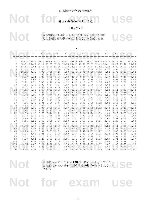Not for **EXAMPLE USE** 

表 **7:** *F* 分布のパーセント点

上側 2.5% 点

表の値は、自由度 v<sub>1</sub>, v<sub>2</sub> の F 分布に従う確率変数が<br>それを超える確率が 0.025 となるような値である. 表の値は,自由度 *ν*1, *ν*<sup>2</sup> の *F* 分布に従う確率変数が それを超える確率が 0.025 となるような値である.

|                |      | $v_1$ |             |                         |                                                                               |       |      |      |      |                                     |      |      |       |             |              |
|----------------|------|-------|-------------|-------------------------|-------------------------------------------------------------------------------|-------|------|------|------|-------------------------------------|------|------|-------|-------------|--------------|
| $v_2$          | 1    |       | 2           | 3                       | 4                                                                             | 5     | 6    |      |      | 9                                   | 10   | 12   | 18    | 24          | $\infty$     |
|                |      |       |             |                         |                                                                               |       |      |      |      |                                     |      |      |       |             |              |
| 1              |      |       |             | 647.8 799.5 864.2 899.6 |                                                                               | 921.8 |      |      |      | 937.1 948.2 956.7 963.3 968.6 976.7 |      |      | 990.3 |             | 997.2 1018.3 |
| $\overline{2}$ |      |       |             |                         | 38.51 39.00 39.17 39.25 39.30 39.33 39.36 39.37 39.39 39.40 39.41 39.44 39.46 |       |      |      |      |                                     |      |      |       |             | 39.50        |
| 3              |      |       |             |                         | 17.44 16.04 15.44 15.10 14.88 14.73 14.62 14.54 14.47 14.42 14.34             |       |      |      |      |                                     |      |      |       | 14.20 14.12 | 13.90        |
| $\overline{4}$ |      |       | 12.22 10.65 | 9.98                    | 9.60                                                                          | 9.36  | 9.20 | 9.07 | 8.98 | 8.90                                | 8.84 | 8.75 | 8.59  | 8.51        | 8.26         |
| 5              |      |       | 10.01 8.43  | 7.76                    | 7.39                                                                          | 7.15  | 6.98 | 6.85 | 6.76 | 6.68                                | 6.62 | 6.52 | 6.36  | 6.28        | 6.02         |
| 6              | 8.81 |       | 7.26        | 6.60                    | 6.23                                                                          | 5.99  | 5.82 | 5.70 | 5.60 | 5.52                                | 5.46 | 5.37 | 5.20  | 5.12        | 4.85         |
| 7              | 8.07 |       | 6.54        | 5.89                    | 5.52                                                                          | 5.29  | 5.12 | 4.99 | 4.90 | 4.82                                | 4.76 | 4.67 | 4.50  | 4.41        | 4.14         |
| 8              | 7.57 |       | 6.06        | 5.42                    | 5.05                                                                          | 4.82  | 4.65 | 4.53 | 4.43 | 4.36                                | 4.30 | 4.20 | 4.03  | 3.95        | 3.67         |
| 9              | 7.21 |       | 5.71        | 5.08                    | 4.72                                                                          | 4.48  | 4.32 | 4.20 | 4.10 | 4.03                                | 3.96 | 3.87 | 3.70  | 3.61        | 3.33         |
| 10             | 6.94 |       | 5.46        | 4.83                    | 4.47                                                                          | 4.24  | 4.07 | 3.95 | 3.85 | 3.78                                | 3.72 | 3.62 | 3.45  | 3.37        | 3.08         |
| 11             | 6.72 |       | 5.26        | 4.63                    | 4.28                                                                          | 4.04  | 3.88 | 3.76 | 3.66 | 3.59                                | 3.53 | 3.43 | 3.26  | 3.17        | 2.88         |
| 12             | 6.55 |       | 5.10        | 4.47                    | 4.12                                                                          | 3.89  | 3.73 | 3.61 | 3.51 | 3.44                                | 3.37 | 3.28 | 3.11  | 3.02        | 2.72         |
| 13             | 6.41 |       | 4.97        | 4.35                    | 4.00                                                                          | 3.77  | 3.60 | 3.48 | 3.39 | 3.31                                | 3.25 | 3.15 | 2.98  | 2.89        | 2.60         |
| 14             | 6.30 |       | 4.86        | 4.24                    | 3.89                                                                          | 3.66  | 3.50 | 3.38 | 3.29 | 3.21                                | 3.15 | 3.05 | 2.88  | 2.79        | 2.49         |
| 15             | 6.20 |       | 4.77        | 4.15                    | 3.80                                                                          | 3.58  | 3.41 | 3.29 | 3.20 | 3.12                                | 3.06 | 2.96 | 2.79  | 2.70        | 2.40         |
| 16             | 6.12 |       | 4.69        | 4.08                    | 3.73                                                                          | 3.50  | 3.34 | 3.22 | 3.12 | 3.05                                | 2.99 | 2.89 | 2.72  | 2.63        | 2.32         |
| 17             | 6.04 |       | 4.62        | 4.01                    | 3.66                                                                          | 3.44  | 3.28 | 3.16 | 3.06 | 2.98                                | 2.92 | 2.82 | 2.65  | 2.56        | 2.25         |
| 18             | 5.98 |       | 4.56        | 3.95                    | 3.61                                                                          | 3.38  | 3.22 | 3.10 | 3.01 | 2.93                                | 2.87 | 2.77 | 2.60  | 2.50        | 2.19         |
| 19             | 5.92 |       | 4.51        | 3.90                    | 3.56                                                                          | 3.33  | 3.17 | 3.05 | 2.96 | 2.88                                | 2.82 | 2.72 | 2.55  | 2.45        | 2.13         |
| 20             | 5.87 |       | 4.46        | 3.86                    | 3.51                                                                          | 3.29  | 3.13 | 3.01 | 2.91 | 2.84                                | 2.77 | 2.68 | 2.50  | 2.41        | 2.09         |
| 22             | 5.79 |       | 4.38        | 3.78                    | 3.44                                                                          | 3.22  | 3.05 | 2.93 | 2.84 | 2.76                                | 2.70 | 2.60 | 2.43  | 2.33        | 2.00         |
| 24             | 5.72 |       | 4.32        | 3.72                    | 3.38                                                                          | 3.15  | 2.99 | 2.87 | 2.78 | 2.70                                | 2.64 | 2.54 | 2.36  | 2.27        | 1.94         |
| 26             | 5.66 |       | 4.27        | 3.67                    | 3.33                                                                          | 3.10  | 2.94 | 2.82 | 2.73 | 2.65                                | 2.59 | 2.49 | 2.31  | 2.22        | 1.88         |
| 28             | 5.61 |       | 4.22        | 3.63                    | 3.29                                                                          | 3.06  | 2.90 | 2.78 | 2.69 | 2.61                                | 2.55 | 2.45 | 2.27  | 2.17        | 1.83         |
| 30             | 5.57 |       | 4.18        | 3.59                    | 3.25                                                                          | 3.03  | 2.87 | 2.75 | 2.65 | 2.57                                | 2.51 | 2.41 | 2.23  | 2.14        | 1.79         |
| 40             | 5.42 |       | 4.05        | 3.46                    | 3.13                                                                          | 2.90  | 2.74 | 2.62 | 2.53 | 2.45                                | 2.39 | 2.29 | 2.11  | 2.01        | 1.64         |
| 50             | 5.34 |       | 3.97        | 3.39                    | 3.05                                                                          | 2.83  | 2.67 | 2.55 | 2.46 | 2.38                                | 2.32 | 2.22 | 2.03  | 1.93        | 1.55         |
| 60             | 5.29 |       | 3.93        | 3.34                    | 3.01                                                                          | 2.79  | 2.63 | 2.51 | 2.41 | 2.33                                | 2.27 | 2.17 | 1.98  | 1.88        | 1.48         |
| 70             | 5.25 |       | 3.89        | 3.31                    | 2.97                                                                          | 2.75  | 2.59 | 2.47 | 2.38 | 2.30                                | 2.24 | 2.14 | 1.95  | 1.85        | 1.44         |
| 80             | 5.22 |       | 3.86        | 3.28                    | 2.95                                                                          | 2.73  | 2.57 | 2.45 | 2.35 | 2.28                                | 2.21 | 2.11 | 1.92  | 1.82        | 1.40         |
| 90             | 5.20 |       | 3.84        | 3.26                    | 2.93                                                                          | 2.71  | 2.55 | 2.43 | 2.34 | 2.26                                | 2.19 | 2.09 | 1.91  | 1.80        | 1.37         |
| 100            | 5.18 |       | 3.83        | 3.25                    | 2.92                                                                          | 2.70  | 2.54 | 2.42 | 2.32 | 2.24                                | 2.18 | 2.08 | 1.89  | 1.78        | 1.35         |
| 110            | 5.16 |       | 3.82        | 3.24                    | 2.90                                                                          | 2.68  | 2.53 | 2.40 | 2.31 | 2.23                                | 2.17 | 2.07 | 1.88  | 1.77        | 1.33         |
| 120            | 5.15 |       | 3.80        | 3.23                    | 2.89                                                                          | 2.67  | 2.52 | 2.39 | 2.30 | 2.22                                | 2.16 | 2.05 | 1.87  | 1.76        | 1.31         |
| $\infty$       |      |       | $5.02$ 3.69 | 3.12                    | 2.79                                                                          | 2.57  | 2.41 | 2.29 |      | $2.19$ $2.11$ $2.05$                |      | 1.94 | 1.75  | 1.64        | 1.00         |

自由度 v<sub>1</sub>, v<sub>2</sub> の F 分布の上側パーセント点をf とすると,<br>自由度 v<sub>2</sub>, v<sub>1</sub> の F 分布の対応する下側パーセント点は 1/f<br>である. 自由度 *ν*1, *ν*<sup>2</sup> の *F* 分布の上側パーセント点を *ƒ* とすると, 自由度 *ν*2, *ν*<sup>1</sup> の *F* 分布の対応する下側パーセント点は 1/ƒ である.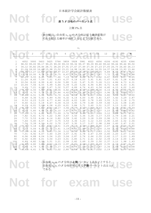Not for **EXAMPLE USE** 

表 **7:** *F* 分布のパーセント点

上側 1% 点

表の値は、自由度 v<sub>1</sub>, v<sub>2</sub> の F 分布に従う確率変数が<br>それを超える確率が 0.01 となるような値である. 表の値は,自由度 *ν*1, *ν*<sup>2</sup> の *F* 分布に従う確率変数が それを超える確率が 0.01 となるような値である.

| $v_1$          |       |                |                                                                                     |      |         |      |      |           |                   |      |      |      |                   |          |
|----------------|-------|----------------|-------------------------------------------------------------------------------------|------|---------|------|------|-----------|-------------------|------|------|------|-------------------|----------|
| $v_2$          | 1     | 2              | 3                                                                                   | 4    | 5       | 6    |      | 8         | 9                 | 10   | 12   | 18   | 24                | $\infty$ |
|                |       |                |                                                                                     |      |         |      |      |           |                   |      |      |      |                   |          |
| 1              | 4052  | 5000           | 5403                                                                                | 5625 | 5764    | 5859 | 5928 | 5981      | 6022              | 6056 | 6106 | 6192 | 6235              | 6366     |
| $\overline{c}$ |       |                | 98.50 99.00 99.17 99.25 99.30 99.33 99.36 99.37 99.39 99.40 99.42                   |      |         |      |      |           |                   |      |      |      | 99.44 99.46 99.50 |          |
| 3              |       |                | 34.12 30.82 29.46 28.71 28.24 27.91 27.67 27.49 27.34 27.23 27.05 26.75 26.60 26.13 |      |         |      |      |           |                   |      |      |      |                   |          |
| 4              |       |                | 21.20 18.00 16.69 15.98 15.52 15.21 14.98 14.80 14.66 14.55 14.37                   |      |         |      |      |           |                   |      |      |      | 14.08 13.93 13.46 |          |
| 5              |       |                | 16.26 13.27 12.06 11.39 10.97 10.67 10.46 10.29 10.16 10.05                         |      |         |      |      |           |                   |      | 9.89 | 9.61 | 9.47              | 9.02     |
| 6              |       | 13.74 10.93    | 9.78                                                                                | 9.15 | 8.75    | 8.47 | 8.26 | 8.10      | 7.98              | 7.87 | 7.72 | 7.45 | 7.31              | 6.88     |
| 7              |       | $12.25 - 9.55$ | 8.45                                                                                | 7.85 | $-7.46$ | 7.19 | 6.99 | 6.84      | $-6.72$           | 6.62 | 6.47 | 6.21 | 6.07              | 5.65     |
| 8              | 11.26 | 8.65           | 7.59                                                                                | 7.01 | 6.63    | 6.37 | 6.18 | 6.03      | 5.91              | 5.81 | 5.67 | 5.41 | 5.28              | 4.86     |
| 9              | 10.56 | 8.02           | 6.99                                                                                | 6.42 | 6.06    | 5.80 | 5.61 | 5.47      | 5.35              | 5.26 | 5.11 | 4.86 | 4.73              | 4.31     |
| 10             | 10.04 | 7.56           | 6.55                                                                                | 5.99 | 5.64    | 5.39 | 5.20 | 5.06      | 4.94              | 4.85 | 4.71 | 4.46 | 4.33              | 3.91     |
| 11             | 9.65  | 7.21           | 6.22                                                                                | 5.67 | 5.32    | 5.07 | 4.89 | 4.74      | 4.63              | 4.54 | 4.40 | 4.15 | 4.02              | 3.60     |
| 12             | 9.33  | 6.93           | 5.95                                                                                | 5.41 | 5.06    | 4.82 | 4.64 | 4.50      | 4.39              | 4.30 | 4.16 | 3.91 | 3.78              | 3.36     |
| 13             | 9.07  | 6.70           | 5.74                                                                                | 5.21 | 4.86    | 4.62 | 4.44 | 4.30      | 4.19              | 4.10 | 3.96 | 3.72 | 3.59              | 3.17     |
| 14             | 8.86  | 6.51           | 5.56                                                                                | 5.04 | 4.70    | 4.46 | 4.28 | 4.14      | 4.03              | 3.94 | 3.80 | 3.56 | 3.43              | 3.00     |
| 15             | 8.68  | 6.36           | 5.42                                                                                | 4.89 | 4.56    | 4.32 | 4.14 | 4.00      | 3.90              | 3.81 | 3.67 | 3.42 | 3.29              | 2.87     |
| 16             | 8.53  | 6.23           | 5.29                                                                                | 4.77 | 4.44    | 4.20 | 4.03 | 3.89      | 3.78              | 3.69 | 3.55 | 3.31 | 3.18              | 2.75     |
| 17             | 8.40  | 6.11           | 5.18                                                                                | 4.67 | 4.34    | 4.10 | 3.93 | 3.79      | 3.68              | 3.59 | 3.46 | 3.21 | 3.08              | 2.65     |
| 18             | 8.29  | 6.01           | 5.09                                                                                | 4.58 | 4.25    | 4.01 | 3.84 | 3.71      | 3.60              | 3.51 | 3.37 | 3.13 | 3.00              | 2.57     |
| 19             | 8.19  | 5.93           | 5.01                                                                                | 4.50 | 4.17    | 3.94 |      | 3.77 3.63 | 3.52              | 3.43 | 3.30 | 3.05 | 2.92              | 2.49     |
| 20             | 8.10  | 5.85           | 4.94                                                                                | 4.43 | 4.10    | 3.87 | 3.70 | 3.56      | 3.46              | 3.37 | 3.23 | 2.99 | 2.86              | 2.42     |
| 22             | 7.95  | 5.72           | 4.82                                                                                | 4.31 | 3.99    | 3.76 | 3.59 | 3.45      | 3.35              | 3.26 | 3.12 | 2.88 | 2.75              | 2.31     |
| 24             | 7.82  | 5.61           | 4.72                                                                                | 4.22 | 3.90    | 3.67 | 3.50 | 3.36      | 3.26              | 3.17 | 3.03 | 2.79 | 2.66              | 2.21     |
| 26             | 7.72  | 5.53           | 4.64                                                                                | 4.14 | 3.82    | 3.59 | 3.42 | 3.29      | 3.18              | 3.09 | 2.96 | 2.71 | 2.59              | 2.13     |
| 28             | 7.64  | 5.45           | 4.57                                                                                | 4.07 | 3.75    | 3.53 | 3.36 | 3.23      | 3.12              | 3.03 | 2.90 | 2.65 | 2.52              | 2.06     |
| 30             | 7.56  | 5.39           | 4.51                                                                                | 4.02 | 3.70    | 3.47 | 3.30 | 3.17      | 3.07              | 2.98 | 2.84 | 2.60 | 2.47              | 2.01     |
| 40             | 7.31  | 5.18           | 4.31                                                                                | 3.83 | 3.51    | 3.29 | 3.12 | 2.99      | 2.89              | 2.80 | 2.67 | 2.42 | 2.29              | 1.80     |
| 50             | 7.17  | 5.06           | 4.20                                                                                | 3.72 | 3.41    | 3.19 | 3.02 | 2.89      | 2.79              | 2.70 | 2.56 | 2.32 | 2.18              | 1.68     |
| 60             | 7.08  | 4.98           | 4.13                                                                                | 3.65 | 3.34    | 3.12 | 2.95 | 2.82      | 2.72              | 2.63 | 2.50 | 2.25 | 2.12              | 1.60     |
| 70             | 7.01  | 4.92           | 4.07                                                                                | 3.60 | 3.29    | 3.07 | 2.91 | 2.78      | 2.67              | 2.59 | 2.45 | 2.20 | 2.07              | 1.54     |
| 80             | 6.96  | 4.88           | 4.04                                                                                | 3.56 | 3.25    | 3.04 | 2.87 | 2.74      | 2.64              | 2.55 | 2.42 | 2.17 | 2.03              | 1.49     |
| 90             | 6.92  | 4.85           | 4.01                                                                                | 3.54 | 3.23    | 3.01 | 2.85 | 2.71      | 2.61              | 2.52 | 2.39 | 2.14 | 2.00              | 1.46     |
| 100            | 6.89  | 4.82           | 3.98                                                                                | 3.51 | 3.21    | 2.99 | 2.82 | 2.69      | 2.59              | 2.50 | 2.37 | 2.12 | 1.98              | 1.43     |
| 110            | 6.87  | 4.80           | 3.96                                                                                | 3.50 | 3.19    | 2.97 | 2.81 | 2.68      | 2.57              | 2.49 | 2.35 | 2.10 | 1.97              | 1.40     |
| 120            | 6.85  | 4.79           | 3.95                                                                                | 3.48 | 3.17    | 2.96 | 2.79 | 2.66      | 2.56              | 2.47 | 2.34 | 2.09 | 1.95              | 1.38     |
| $\infty$       |       | $6.63$ 4.61    | 3.78                                                                                | 3.32 | 3.02    | 2.80 | 2.64 |           | $2.51 \quad 2.41$ | 2.32 | 2.19 | 1.93 | 1.79              | 1.00     |

自由度 v<sub>1</sub>, v<sub>2</sub> の F 分布の上側パーセント点をf とすると,<br>自由度 v<sub>2</sub>, v<sub>1</sub> の F 分布の対応する下側パーセント点は 1/f<br>である. 自由度 *ν*1, *ν*<sup>2</sup> の *F* 分布の上側パーセント点を *ƒ* とすると, 自由度 *ν*2, *ν*<sup>1</sup> の *F* 分布の対応する下側パーセント点は 1/ƒ である.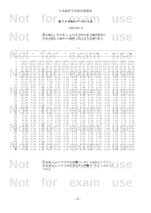Not for **EXAMPLE USE** 

表 **7:** *F* 分布のパーセント点

上側 0.5% 点

表の値は、自由度 v<sub>1</sub>, v<sub>2</sub> の F 分布に従う確率変数が<br>それを超える確率が 0.005 となるような値である. 表の値は,自由度 *ν*1, *ν*<sup>2</sup> の *F* 分布に従う確率変数が それを超える確率が 0.005 となるような値である.

| $v_1$    |              |              |                                                                                     |              |              |              |              |                             |                      |              |              |              |              |              |
|----------|--------------|--------------|-------------------------------------------------------------------------------------|--------------|--------------|--------------|--------------|-----------------------------|----------------------|--------------|--------------|--------------|--------------|--------------|
| $v_2$    | 1            | 2            | 3 <sup>1</sup>                                                                      | 4            | 5            | 6            |              | 8                           | 9                    | 10           | 12           | 18           | 24           | $\infty$     |
|          |              |              |                                                                                     |              |              |              |              |                             |                      |              |              |              |              |              |
| 1        |              |              | 16211 20000 21615 22500 23056 23437 23715 23925 24091 24224 24426 24767 24940 25464 |              |              |              |              |                             |                      |              |              |              |              |              |
| 2        |              |              | 198.5 199.0 199.2 199.3 199.3 199.3 199.4 199.4 199.4 199.4 199.4 199.4 199.5 199.5 |              |              |              |              |                             |                      |              |              |              |              |              |
| 3        |              |              | 55.55 49.80 47.47 46.19 45.39 44.84 44.43 44.13 43.88 43.69 43.39 42.88 42.62 41.83 |              |              |              |              |                             |                      |              |              |              |              |              |
| 4        |              |              | 31.33 26.28 24.26 23.15 22.46 21.97 21.62 21.35 21.14 20.97 20.70 20.26 20.03 19.32 |              |              |              |              |                             |                      |              |              |              |              |              |
| 5        |              |              | 22.78 18.31 16.53 15.56 14.94 14.51 14.20 13.96 13.77 13.62 13.38 12.98 12.78 12.14 |              |              |              |              |                             |                      |              |              |              |              |              |
| 6        |              |              | 18.63 14.54 12.92 12.03 11.46 11.07 10.79 10.57 10.39 10.25 10.03                   |              |              |              |              |                             |                      |              |              | 9.66         | 9.47         | 8.88         |
| 7        |              |              | 16.24 12.40 10.88 10.05 9.52                                                        |              |              | 9.16         |              | $8.89$ $8.68$ $8.51$ $8.38$ |                      |              | 8.18         | 7.83         | 7.64         | 7.08         |
| 8        | 14.69 11.04  |              | 9.60                                                                                | 8.81         | 8.30         | 7.95         | 7.69         | 7.50                        | 7.34                 | 7.21         | 7.01         | 6.68         | 6.50         | 5.95         |
| 9        | 13.61 10.11  |              | 8.72                                                                                | 7.96         | 7.47         | 7.13         | 6.88         | 6.69                        | 6.54                 | 6.42         | 6.23         | 5.90         | 5.73         | 5.19         |
| 10       | 12.83        | 9.43         | 8.08                                                                                | 7.34         | 6.87         | 6.54         | 6.30         | 6.12                        | 5.97                 | 5.85         | 5.66         | 5.34         | 5.17         | 4.64         |
| 11       | 12.23        | 8.91         | 7.60                                                                                | 6.88         | 6.42         | 6.10         | 5.86         | 5.68                        | 5.54                 | 5.42         | 5.24         | 4.92         | 4.76         | 4.23         |
| 12       | 11.75        | 8.51         | 7.23                                                                                | 6.52         | 6.07         | 5.76         | 5.52         | 5.35                        | 5.20                 | 5.09         | 4.91         | 4.59         | 4.43         | 3.90         |
| 13       | 11.37        | 8.19         | 6.93                                                                                | 6.23         | 5.79         | 5.48         | 5.25         | 5.08                        | 4.94                 | 4.82         | 4.64         | 4.33         | 4.17         | 3.65         |
| 14       | 11.06        | 7.92         | 6.68                                                                                | 6.00         | 5.56         | 5.26         | 5.03         | 4.86                        | 4.72                 | 4.60         | 4.43         | 4.12         | 3.96         | 3.44         |
| 15       | 10.80        | 7.70         | 6.48                                                                                | 5.80         | 5.37         | 5.07         | 4.85         | 4.67                        | 4.54                 | 4.42         | 4.25         | 3.95         | 3.79         | 3.26         |
| 16       | 10.58        | 7.51         | 6.30                                                                                | 5.64         | 5.21         | 4.91         | 4.69         | 4.52                        | 4.38                 | 4.27         | 4.10         | 3.80         | 3.64         | 3.11         |
| 17       | 10.38        | 7.35         | 6.16                                                                                | 5.50         | 5.07         | 4.78         | 4.56         | 4.39                        | 4.25                 | 4.14         | 3.97         | 3.67         | 3.51         | 2.98         |
| 18       | 10.22        | 7.21         | 6.03                                                                                | 5.37         | 4.96         | 4.66         | 4.44         | 4.28                        | 4.14                 | 4.03         | 3.86         | 3.56         | 3.40         | 2.87         |
| 19       | 10.07        | 7.09         | 5.92                                                                                | 5.27         | 4.85         | 4.56         | 4.34         | 4.18                        | 4.04                 | 3.93         | 3.76         | 3.46         | 3.31         | 2.78         |
| 20       | 9.94         | 6.99         | 5.82                                                                                | 5.17         | 4.76         | 4.47         | 4.26         | 4.09                        | 3.96                 | 3.85         | 3.68         | 3.38         | 3.22         | 2.69         |
| 22       |              | 9.73 6.81    | 5.65                                                                                | 5.02         | 4.61         | 4.32         | 4.11         | 3.94                        | 3.81                 | 3.70         | 3.54         | 3.24         | 3.08         | 2.55         |
| 24       | 9.55         | 6.66         | 5.52                                                                                | 4.89         | 4.49         | 4.20         | 3.99         | 3.83                        | 3.69                 | 3.59         | 3.42         | 3.12         | 2.97         | 2.43         |
| 26       | 9.41         | 6.54         | 5.41                                                                                | 4.79         | 4.38         | 4.10         | 3.89         | 3.73                        | 3.60                 | 3.49         | 3.33         | 3.03         | 2.87         | 2.33         |
| 28       | 9.28         | 6.44         | 5.32                                                                                | 4.70         | 4.30         | 4.02         | 3.81         | 3.65                        | 3.52                 | 3.41         | 3.25         | 2.95         | 2.79         | 2.25         |
| 30       | 9.18         | 6.35         | 5.24                                                                                | 4.62         | 4.23         | 3.95         | 3.74         | 3.58                        | 3.45                 | 3.34         | 3.18         | 2.89         | 2.73         | 2.18         |
| 40       | 8.83         | 6.07         | 4.98                                                                                | 4.37         | 3.99         | 3.71         | 3.51         | 3.35                        | 3.22                 | 3.12         | 2.95         | 2.66         | 2.50         | 1.93         |
| 50       | 8.63         | 5.90         | 4.83                                                                                | 4.23         | 3.85         | 3.58         | 3.38         | 3.22                        | 3.09                 | 2.99         | 2.82         | 2.53         | 2.37         | 1.79         |
| 60       | 8.49         | 5.79         | 4.73                                                                                | 4.14         | 3.76         | 3.49         | 3.29         | 3.13                        | 3.01                 | 2.90         | 2.74         | 2.45         | 2.29         | 1.69         |
| 70       | 8.40         | 5.72         | 4.66                                                                                | 4.08         | 3.70         | 3.43         | 3.23         | 3.08                        | 2.95                 | 2.85         | 2.68         | 2.39         | 2.23         | 1.62         |
| 80<br>90 | 8.33<br>8.28 | 5.67<br>5.62 | 4.61<br>4.57                                                                        | 4.03<br>3.99 | 3.65<br>3.62 | 3.39<br>3.35 | 3.19<br>3.15 | 3.03<br>3.00                | 2.91<br>2.87         | 2.80<br>2.77 | 2.64<br>2.61 | 2.35<br>2.32 | 2.19<br>2.15 | 1.56<br>1.52 |
| 100      | 8.24         | 5.59         | 4.54                                                                                | 3.96         | 3.59         | 3.33         | 3.13         | 2.97                        | 2.85                 | 2.74         | 2.58         | 2.29         | 2.13         | 1.49         |
| 110      | $8.21 -$     | 5.56         | 4.52                                                                                | 3.94         | 3.57         | 3.30         | 3.11         | 2.95                        | 2.83                 | 2.72         | 2.56         | 2.27         | 2.11         | 1.46         |
| 120      | 8.18         | 5.54         | 4.50                                                                                | 3.92         | 3.55         | 3.28         | 3.09         | 2.93                        | 2.81                 | 2.71         | 2.54         | 2.25         | 2.09         | 1.43         |
| $\infty$ |              | 7.88 5.30    | 4.28                                                                                | 3.72         | 3.35         | 3.09         | 2.90         |                             | $2.74$ $2.62$ $2.52$ |              | 2.36         | 2.06         | 1.90         | 1.00         |
|          |              |              |                                                                                     |              |              |              |              |                             |                      |              |              |              |              |              |

自由度 v<sub>1</sub>, v<sub>2</sub> の F 分布の上側パーセント点をf とすると,<br>自由度 v<sub>2</sub>, v<sub>1</sub> の F 分布の対応する下側パーセント点は 1/f<br>である. 自由度 *ν*1, *ν*<sup>2</sup> の *F* 分布の上側パーセント点を *ƒ* とすると, 自由度 *ν*2, *ν*<sup>1</sup> の *F* 分布の対応する下側パーセント点は 1/ƒ である.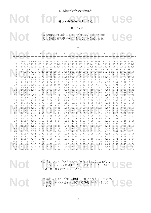Not for **EXAMPLE USE** 

表 **7:** *F* 分布のパーセント点

上側 0.1% 点

表の値は、自由度 v<sub>1</sub>, v<sub>2</sub> の F 分布に従う確率変数が<br>それを超える確率が 0.001 となるような値である. 表の値は,自由度 *ν*1, *ν*<sup>2</sup> の *F* 分布に従う確率変数が それを超える確率が 0.001 となるような値である.

*ν*1

| v <sub>2</sub>  |                              |                | $3-$                        |                              | $5\overline{5}$   | 6    |                                                                                     | 8                 | 9              | 10        | 12   | 18   |                      | $\infty$          |
|-----------------|------------------------------|----------------|-----------------------------|------------------------------|-------------------|------|-------------------------------------------------------------------------------------|-------------------|----------------|-----------|------|------|----------------------|-------------------|
|                 |                              |                |                             |                              |                   |      |                                                                                     |                   |                |           |      |      |                      |                   |
| 1               |                              |                |                             |                              |                   |      | 4053* 5000* 5404* 5625* 5764* 5859* 5929* 5981* 6023* 6056* 6107* 6192* 6235* 6366* |                   |                |           |      |      |                      |                   |
| 2               |                              |                |                             |                              |                   |      | 998.5 999.0 999.2 999.3 999.3 999.3 999.4 999.4 999.4 999.4 999.4 999.4 999.5 999.5 |                   |                |           |      |      |                      |                   |
| 3               |                              |                |                             |                              |                   |      | 167.0 148.5 141.1 137.1 134.6 132.8 131.6 130.6 129.9 129.2 128.3 126.7 125.9 123.5 |                   |                |           |      |      |                      |                   |
| $\overline{4}$  |                              |                |                             |                              |                   |      | 74.14 61.25 56.18 53.44 51.71 50.53 49.66 49.00 48.47 48.05 47.41 46.32 45.77 44.05 |                   |                |           |      |      |                      |                   |
| 5               |                              |                |                             |                              |                   |      | 47.18 37.12 33.20 31.09 29.75 28.83 28.16 27.65 27.24 26.92 26.42 25.57 25.13 23.79 |                   |                |           |      |      |                      |                   |
| 6               |                              |                |                             |                              |                   |      | 35.51 27.00 23.70 21.92 20.80 20.03 19.46 19.03 18.69 18.41 17.99 17.27 16.90 15.75 |                   |                |           |      |      |                      |                   |
| 7               |                              |                |                             |                              |                   |      | 29.25 21.69 18.77 17.20 16.21 15.52 15.02 14.63 14.33 14.08 13.71 13.06 12.73 11.70 |                   |                |           |      |      |                      |                   |
| 8               |                              |                |                             |                              |                   |      | 25.41 18.49 15.83 14.39 13.48 12.86 12.40 12.05 11.77 11.54 11.19 10.60 10.30 9.33  |                   |                |           |      |      |                      |                   |
| 9               |                              |                |                             |                              |                   |      | 22.86 16.39 13.90 12.56 11.71 11.13 10.70 10.37 10.11 9.89 9.57                     |                   |                |           |      |      | 9.01 8.72 7.81       |                   |
| 10              |                              |                |                             |                              |                   |      | 21.04 14.91 12.55 11.28 10.48 9.93 9.52 9.20 8.96 8.75 8.45                         |                   |                |           |      | 7.91 |                      | 7.64 6.76         |
| 11              |                              |                |                             |                              |                   |      | 19.69 13.81 11.56 10.35 9.58 9.05 8.66 8.35 8.12                                    |                   |                | 7.92      | 7.63 | 7.11 | 6.85                 | 6.00              |
| 12              |                              |                | 18.64 12.97 10.80 9.63 8.89 |                              |                   |      | 8.38 8.00 7.71 7.48 7.29                                                            |                   |                |           | 7.00 | 6.51 | 6.25                 | 5.42              |
| 13              |                              |                | 17.82 12.31 10.21 9.07 8.35 |                              |                   | 7.86 | $7.49$ $7.21$ 6.98                                                                  |                   |                | 6.80      | 6.52 | 6.03 |                      | 5.78 4.97         |
| 14              | $17.14$ 11.78 9.73 8.62 7.92 |                |                             |                              |                   |      | $7.44$ $7.08$ 6.80 6.58 6.40                                                        |                   |                |           | 6.13 | 5.66 |                      | 5.41 4.60         |
| 15              |                              |                | 16.59 11.34 9.34 8.25       |                              | 7.57              | 7.09 |                                                                                     | $6.74 \quad 6.47$ | 6.26           | 6.08      | 5.81 | 5.35 | 5.10                 | 4.31              |
| 16              |                              |                | 16.12 10.97 9.01            |                              | 7.94 7.27         | 6.80 |                                                                                     | $6.46$ $6.19$     | 5.98           | 5.81      | 5.55 | 5.09 |                      | 4.85 4.06         |
| 17              |                              |                | 15.72 10.66 8.73            | 7.68                         | 7.02              | 6.56 |                                                                                     | $6.22$ $5.96$     | 5.75           | 5.58      | 5.32 | 4.87 |                      | 4.63 3.85         |
| 18              |                              |                | 15.38 10.39 8.49            |                              | 7.46 6.81         | 6.35 |                                                                                     | 6.02 5.76         | 5.56           | 5.39      | 5.13 | 4.68 | 4.45                 | 3.67              |
| 19              | 15.08 10.16                  |                | 8.28                        |                              | 7.276.62          |      | $6.18$ $5.85$ $5.59$                                                                |                   |                | 5.39 5.22 | 4.97 | 4.52 |                      | 4.29 3.51         |
| 20              | 14.82 9.95                   |                | 8.10                        | 7.10                         | 6.46              | 6.02 |                                                                                     | 5.69 5.44         | 5.24           | 5.08      | 4.82 | 4.38 |                      | $4.15$ $3.38$     |
| 22              | 14.38 9.61                   |                | 7.80                        |                              | $6.81 \quad 6.19$ |      | $5.76$ $5.44$ $5.19$ $4.99$ $4.83$                                                  |                   |                |           | 4.58 | 4.15 |                      | $3.92 \quad 3.15$ |
| 24              | 14.03 9.34                   |                | 7.55                        | 6.59                         | 5.98              | 5.55 |                                                                                     | 5.23 4.99         | 4.80           | 4.64      | 4.39 | 3.96 | 3.74                 | 2.97              |
| 26              | 13.74 9.12                   |                | 7.36                        |                              | $6.41$ $5.80$     | 5.38 |                                                                                     | 5.07 4.83         | 4.64           | 4.48      | 4.24 | 3.81 | 3.59                 | 2.82              |
| 28              | 13.50 8.93                   |                | 7.19                        |                              | $6.25$ $5.66$     | 5.24 | 4.93 4.69                                                                           |                   |                | 4.50 4.35 | 4.11 | 3.69 |                      | $3.46$ 2.69       |
| 30 <sub>1</sub> |                              | 13.29 8.77     |                             | $7.05$ 6.12 5.53             |                   | 5.12 | 4.82                                                                                | 4.58              | 4.39           | 4.24      | 4.00 | 3.58 |                      | 3.36 2.59         |
| 40              |                              | $12.61 - 8.25$ | 6.59                        |                              | $5.70$ $5.13$     |      | 4.73 4.44 4.21 4.02 3.87                                                            |                   |                |           | 3.64 |      | $3.23$ $3.01$ $2.23$ |                   |
| 50              | 12.22                        | 7.96           | 6.34                        |                              | 5.46 4.90         | 4.51 | 4.22                                                                                |                   | 4.00 3.82      | 3.67      | 3.44 | 3.04 | 2.82                 | 2.03              |
| 60              |                              | 11.97 7.77     | 6.17                        |                              | 5.31 4.76         |      | 4.37 4.09 3.86 3.69 3.54                                                            |                   |                |           | 3.32 | 2.91 |                      | 2.69 1.89         |
| 70              |                              | 11.80 7.64     | 6.06                        |                              | 5.20 4.66         | 4.28 |                                                                                     | $3.99$ $3.77$     | 3.60           | 3.45      | 3.23 | 2.83 | 2.61                 | 1.79              |
| 80              |                              | 11.67 7.54     | 5.97                        |                              | 5.12 4.58         | 4.20 |                                                                                     |                   | 3.92 3.70 3.53 | 3.39      | 3.16 |      | 2.76 2.54            | 1.72              |
| 90              |                              | 11.57 7.47     | 5.91                        |                              | $5.06$ 4.53       | 4.15 |                                                                                     | $3.87$ $3.65$     | 3.48           | 3.34      | 3.11 | 2.71 | 2.50                 | 1.66              |
| 100             | 11.50                        | 7.41           |                             | $5.86$ $5.02$ $4.48$         |                   | 4.11 | 3.83                                                                                | 3.61              | 3.44           | 3.30      | 3.07 | 2.68 | 2.46                 | 1.62              |
| 110             | $11.43 - 7.36$               |                |                             | $5.82 \quad 4.98 \quad 4.45$ |                   |      | 4.07 3.79 3.58 3.41 3.26                                                            |                   |                |           | 3.04 | 2.65 |                      | $2.43$ 1.58       |
| 120             | 11.38                        | 7.32           | 5.78                        | 4.95                         | 4.42              | 4.04 | 3.77                                                                                |                   | $3.55$ $3.38$  | 3.24      | 3.02 | 2.62 |                      | 2.40 1.54         |
| $\infty$        | $10.83$ 6.91                 |                | 5.42                        |                              |                   |      | $4.62$ $4.10$ $3.74$ $3.47$ $3.27$ $3.10$ $2.96$ $2.74$                             |                   |                |           |      |      | 2.35 2.13 1.00       |                   |

**Notation を注意:v2=1の行のすべてのパーセント点は 100倍して<br>用いる. 例えば自由度 8,1 の F分布のパーセント点は<br>598100 (有効数字 4 桁) である.** \*注意: *v*<sub>2</sub>=1 の行のすべてのパーセント点は 100 倍して 用いる. 例えば自由度 8,1 の F 分布のパーセント点は 598100 (有効数字 4 桁) である.

自由度 v<sub>1</sub>, v<sub>2</sub> の F 分布の上側パーセント点を f とすると,<br>自由度 v<sub>2</sub>, v<sub>1</sub> の F 分布の対応する下側パーセント点は 1/f<br>である. 自由度 *ν*1, *ν*<sup>2</sup> の *F* 分布の上側パーセント点を *ƒ* とすると, 自由度 *ν*2, *ν*<sup>1</sup> の *F* 分布の対応する下側パーセント点は 1/ƒ である.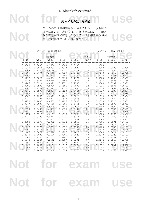Not for <sub>\*8: 相関係数の臨界値</sub> NSC 表 **8:** 相関係数の臨界値

検定に用いる. 表の値は, 片側検定において, 示さ<br>れた有意水準で有意となるために標本相関係数が到<br>達しなければならない最小値である. これらの表は母相関係数 *ρ* が 0 であるという仮説の 検定に用いる. 表の値は、片側検定において、示さ れた有意水準で有意となるために標本相関係数が到 達しなければならない最小値である.

|        |        | ピアソンの積率相関係数 |        |        |                |        | スピアマンの順位相関係数 |        |
|--------|--------|-------------|--------|--------|----------------|--------|--------------|--------|
|        |        | 有意水準        |        |        | 標本の            |        | 有意水準         |        |
| 0.10   | 0.05   | 0.025       | 0.01   | 0.005  | 大きさ            | 0.05   | 0.025        | 0.01   |
| 0.8000 | 0.9000 | 0.9500      | 0.9800 | 0.9900 |                | 1.0000 |              |        |
| 0.6870 | 0.8054 | 0.8783      | 0.9343 | 0.9587 | 5              | 0.9000 | 1,0000       | 1.0000 |
| 0.6084 | 0.7293 | 0.8114      | 0.8822 | 0.9172 | 6              | 0.8286 | 0.8857       | 0.9429 |
| 0.5509 | 0.6694 | 0.7545      | 0.8329 | 0.8745 | 7              | 0.7143 | 0.7857       | 0.8929 |
| 0.5067 | 0.6215 | 0.7067      | 0.7887 | 0.8343 | 8              | 0.6429 | 0.7381       | 0.8333 |
| 0.4716 | 0.5822 | 0.6664      | 0.7498 | 0.7977 | $\overline{9}$ | 0.6000 | 0.7000       | 0.7833 |
| 0.4428 | 0.5494 | 0.6319      | 0.7155 | 0.7646 | $10$           | 0.5636 | 0.6485       | 0.7455 |
| 0.4187 | 0.5214 | 0.6021      | 0.6851 | 0.7348 | 11             | 0.5364 | 0.6182       | 0.7091 |
| 0.3981 | 0.4973 | 0.5760      | 0.6581 | 0.7079 | 12             | 0.5035 | 0.5874       | 0.6783 |
| 0.3802 | 0.4762 | 0.5529      | 0.6339 | 0.6835 | 13             | 0.4835 | 0.5604       | 0.6484 |
| 0.3646 | 0.4575 | 0.5324      | 0.6120 | 0.6614 | 14             | 0.4637 | 0.5385       | 0.6264 |
| 0.3507 | 0.4409 | 0.5140      | 0.5923 | 0.6411 | 15             | 0.4464 | 0.5214       | 0.6036 |
| 0.3383 | 0.4259 | 0.4973      | 0.5742 | 0.6226 | 16             | 0.4294 | 0.5029       | 0.5824 |
| 0.3271 | 0.4124 | 0.4821      | 0.5577 | 0.6055 | 17             | 0.4142 | 0.4877       | 0.5662 |
| 0.3170 | 0.4000 | 0.4683      | 0.5425 | 0.5897 | 18             | 0.4014 | 0.4716       | 0.5501 |
| 0.3077 | 0.3887 | 0.4555      | 0.5285 | 0.5751 | 19             | 0.3912 | 0.4596       | 0.5351 |
| 0.2992 | 0.3783 | 0.4438      | 0.5155 | 0.5614 | 20             | 0.3805 | 0.4466       | 0.5218 |
| 0.2914 | 0.3687 | 0.4329      | 0.5034 | 0.5487 | 21             | 0.3701 | 0.4364       | 0.5091 |
| 0.2841 | 0.3598 | 0.4227      | 0.4921 | 0.5368 | 22             | 0.3608 | 0.4252       | 0.4975 |
| 0.2774 | 0.3515 | 0.4133      | 0.4815 | 0.5256 | 23             | 0.3528 | 0.4160       | 0.4862 |
| 0.2711 | 0.3438 | 0.4044      | 0.4716 | 0.5151 | 24             | 0.3443 | 0.4070       | 0.4757 |
| 0.2653 | 0.3365 | 0.3961      | 0.4622 | 0.5052 | 25             | 0.3369 | 0.3977       | 0.4662 |
| 0.2598 | 0.3297 | 0.3882      | 0.4534 | 0.4958 | 26             | 0.3306 | 0.3901       | 0.4571 |
| 0.2546 | 0.3233 | 0.3809      | 0.4451 | 0.4869 | 27             | 0.3242 | 0.3828       | 0.4487 |
| 0.2497 | 0.3172 | 0.3739      | 0.4372 | 0.4785 | 28             | 0.3180 | 0.3755       | 0.4401 |
| 0.2451 | 0.3115 | 0.3673      | 0.4297 | 0.4705 | 29             | 0.3118 | 0.3685       | 0.4325 |
| 0.2407 | 0.3061 | 0.3610      | 0.4226 | 0.4629 | 30             | 0.3063 | 0.3624       | 0.4251 |
| 0.2070 | 0.2638 | 0.3120      | 0.3665 | 0.4026 | 40             | 0.2640 | 0.3128       | 0.3681 |
| 0.1843 | 0.2353 | 0.2787      | 0.3281 | 0.3610 | 50             | 0.2353 | 0.2791       | 0.3293 |
| 0.1678 | 0.2144 | 0.2542      | 0.2997 | 0.3301 | 60             | 0.2144 | 0.2545       | 0.3005 |
| 0.1550 | 0.1982 | 0.2352      | 0.2776 | 0.3060 | 70             | 0.1982 | 0.2354       | 0.2782 |
| 0.1448 | 0.1852 | 0.2199      | 0.2597 | 0.2864 | 80             | 0.1852 | 0.2201       | 0.2602 |
| 0.1364 | 0.1745 | 0.2072      | 0.2449 | 0.2702 | 90             | 0.1745 | 0.2074       | 0.2453 |
| 0.1292 | 0.1654 | 0.1966      | 0.2324 | 0.2565 | 100            | 0.1654 | 0.1967       | 0.2327 |

# **Not for exam use Not for exam use**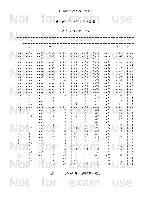## Not for <sub>表9: ダービン・ワトソン統計量</sub>

 $d_{\text{L}}$  と  $d_{\text{U}}$  の有意点: 5%

|          |                      |                  |                      |                  | $u_L \subset u_U \cup \mathcal{H}$ 思 点 . 370 |                       |                      |                  |                      |                  |
|----------|----------------------|------------------|----------------------|------------------|----------------------------------------------|-----------------------|----------------------|------------------|----------------------|------------------|
|          |                      |                  |                      |                  |                                              |                       |                      |                  |                      |                  |
|          | $k' = 1$             |                  | $k' = 2$             |                  | $k' = 3$                                     |                       |                      | $=4$             |                      |                  |
| n        | $d_{\text{\tiny L}}$ | $d_{\mathtt{U}}$ | $d_{\text{\tiny L}}$ | $d_{\mathtt{U}}$ | $d_{\text{\tiny L}}$                         | $d_{\mathtt{U}}$      | $d_{\text{\tiny L}}$ | $d_{\mathtt{U}}$ | $d_{\text{\tiny L}}$ | $d_{\mathtt{U}}$ |
| 15       | 1.08                 | 1.36             | 0.95                 | 1.54             | 0.82                                         | 1.75                  | 0.69                 | 1.97             | 0.56                 | 2.21             |
| 16       | 1.10                 | 1.37             | 0.98                 | 1.54             | 0.86                                         | 1.73                  | 0.74                 | 1.93             | 0.62                 | 2.15             |
| 17       | 1.13                 | 1.38             | 1.02                 | 1.54             | 0.90                                         | 1.71                  | 0.78                 | 1.90             | 0.67                 | 2.10             |
| $18\,$   | 1.16                 | 1.39             | 1.05                 | 1.53             | 0.93                                         | 1.69                  | 0.82                 | 1.87             | 0.71                 | 2.06             |
| 19       | 1.18                 | 1.40             | 1.08                 | 1.53             | 0.97                                         | 1.68                  | 0.86                 | 1.85             | 0.75                 | 2.02             |
| $20$     | 1.20                 | 1.41             | 1.10                 | 1.54             | 1.00                                         | 1.68                  | 0.90                 | 1.83             | 0.79                 | 1.99             |
| 21       | 1.22                 | 1.42             | $1.13 -$             | 1.54             | 1.03                                         | 1.67                  | 0.93                 | 1.81             | 0.83                 | 1.96             |
| 22<br>23 | 1.24                 | 1.43             | 1.15                 | 1.54             | 1.05                                         | 1.66<br>$1.66 - 0.99$ | 0.96                 | 1.80             | 0.86                 | 1.94<br>1.92     |
| 24       | 1.26<br>1.27         | 1.44             | 1.17<br>1.19         | 1.54<br>1.55     | 1.08<br>1.10                                 | 1.66                  | 1.01                 | 1.79<br>1.78     | 0.90<br>0.93         | 1.90             |
| 25       | 1.29                 | 1.45<br>1.45     | 1.21                 | 1.55             | 1.12                                         | 1.66                  | 1.04                 | 1.77             | 0.95                 | 1.89             |
| 26       | 1.30                 | 1.46             | 1.22                 | 1.55             | 1.14                                         | 1.65                  | 1.06                 | 1.76             | 0.98                 | 1.88             |
| 27       | 1.32                 | 1.47             | $1.24 -$             | 1.56             | 1.16                                         | 1.65                  | 1.08                 | 1.76             | 1.01                 | 1.86             |
| 28       | 1.33                 | 1.48             | 1.26                 | 1.56             | 1.18                                         | 1.65                  | 1.10                 | 1.75             | 1.03                 | 1.85             |
| 29       | 1.34                 | 1.48             | 1.27                 | 1.56             | 1.20                                         |                       | $1.65 - 1.12$        | 1.74             | 1.05                 | 1.84             |
| $30$     | 1.35                 | 1.49             | 1.28                 | 1.57             | 1.21                                         | 1.65                  | 1.14                 | 1.74             | 1.07                 | 1.83             |
| $31\,$   | 1.36                 | 1.50             | 1.30                 | 1.57             | 1.23                                         | 1.65                  | 1.16                 | 1.74             | 1.09                 | 1.83             |
| 32       | 1.37                 | 1.50             | 1.31                 | 1.57             | 1.24                                         | 1.65                  | 1.18                 | 1.73             | 1.11                 | 1.82             |
| 33       | 1.38                 | 1.51             | 1.32                 | 1.58             | 1.26                                         | 1.65                  | 1.19                 | 1.73             | 1.13                 | 1.81             |
| 34       | 1.39                 | 1.51             | 1.33                 | 1.58             | 1.27                                         | 1.65                  | 1.21                 | 1.73             | 1.15                 | 1.81             |
| 35       | 1.40                 | 1.52             | 1.34                 | 1.58             | 1.28                                         | 1.65                  | 1.22                 | 1.73             | 1.16                 | 1.80             |
| 36       | 1.41                 | 1.52             | 1.35                 | 1.59             | 1.29                                         | 1.65                  | 1.24                 | 1.73             | 1.18                 | 1.80             |
| 37       | 1.42                 | 1.53             | 1.36                 | 1.59             | 1.31                                         | 1.66                  | 1.25                 | 1.72             | 1.19                 | 1.80             |
| 38       | 1.43                 | 1.54             | 1.37                 | 1.59             | 1.32                                         | 1.66                  | 1.26                 | 1.72             | 1.21                 | 1.79             |
| 39       | 1.43                 | 1.54             | 1.38                 | 1.60             | 1.33                                         | 1.66                  | 1.27                 | 1.72             | 1.22                 | 1.79             |
| 40       | 1.44                 | 1.54             | 1.39                 | 1.60             | 1.34                                         | 1.66                  | 1.29                 | 1.72             | 1.23                 | 1.79             |
| 45       | 1.48                 | 1.57             | 1.43                 | 1.62             | 1.38                                         | 1.67                  | 1.34                 | 1.72             | 1.29                 | 1.78             |
| 50       | 1.50                 | 1.59             | 1.46                 | 1.63             | 1.42                                         | 1.67                  | 1.38                 | 1.72             | 1.34                 | 1.77             |
| 55       | 1.53                 | 1.60             | 1.49                 | 1.64             | 1.45                                         | 1.68                  | 1.41                 | 1.72             | 1.38                 | 1.77             |
| 60<br>65 | 1.55<br>1.57         | 1.62<br>1.63     | 1.51                 | 1.65<br>1.66     | 1.48<br>1.50                                 | 1.69<br>1.70          | 1.44<br>1.47         | 1.73<br>1.73     | 1.41<br>1.44         | 1.77             |
|          | 1.58                 |                  | 1.54                 |                  | 1.52                                         | 1.70                  | 1.49                 |                  | 1.46                 | 1.77             |
| 70<br>75 | 1.60                 | 1.64<br>1.65     | 1.55<br>1.57         | 1.67<br>1.68     | 1.54                                         | 1.71                  | 1.51                 | 1.74<br>1.74     | 1.49                 | 1.77<br>1.77     |
| 80       | 1.61                 | 1.66             | 1.59                 | 1.69             | 1.56                                         | 1.72                  | 1.53                 | 1.74             | 1.51                 | 1.77             |
| 85       | 1.62                 | 1.67             | 1.60                 | 1.70             | 1.57                                         | 1.72                  | 1.55                 | 1.75             | 1.52                 | 1.77             |
| 90       | 1.63                 | 1.68             | 1.61                 | 1.70             | 1.59                                         | 1.73                  | 1.57                 | 1.75             | 1.54                 | 1.78             |
| 95       | 1.64                 | 1.69             | 1.62                 | 1.71             | 1.60                                         | 1.73                  | 1.58                 | 1.75             | 1.56                 | 1.78             |
| 100      | 1.65                 | 1.69             | 1.63                 | 1.72             | 1.61                                         | 1.74                  | 1.59                 | 1.76             | 1.57                 | 1.78             |
|          |                      |                  |                      |                  |                                              |                       |                      |                  |                      |                  |
|          |                      |                  |                      |                  |                                              |                       |                      |                  |                      |                  |

注意: *k*' = 定数項以外の説明変数の個数.

**Not for exam use**

- 15 -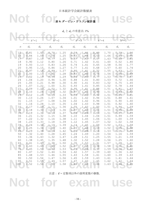## Not for <sub>表9: ダービン・ワトソン統計量</sub>

 $d_{\text{L}}$  と  $d_{\text{U}}$  の有意点: 1%

|              |                      |                   |                      |                  |                      | $u_{\rm L} \subset u_{\rm U}$ ワーイ 思 点 . 170 |                      |                  |                |                  |
|--------------|----------------------|-------------------|----------------------|------------------|----------------------|---------------------------------------------|----------------------|------------------|----------------|------------------|
|              |                      |                   |                      |                  |                      |                                             |                      |                  |                |                  |
|              | $k' = 1$             |                   | $k' = 2$             |                  | $k' = 3$             |                                             |                      | $=4$             |                |                  |
| n            | $d_{\text{\tiny L}}$ | $d_{\mathtt{U}}$  | $d_{\text{\tiny L}}$ | $d_{\mathtt{U}}$ | $d_{\text{\tiny L}}$ | $d_{\mathtt{U}}$                            | $d_{\text{\tiny L}}$ | $d_{\mathtt{U}}$ | $d_{\text{L}}$ | $d_{\mathtt{U}}$ |
| 15           | 0.81                 | 1.07              | 0.70                 | 1.25             | 0.59                 | 1.46                                        | 0.49                 | 1.70             | 0.39           | 1.96             |
| 16           | 0.84                 | 1.09              | 0.74                 | 1.25             | 0.63                 | 1.44                                        | 0.53                 | 1.66             | 0.44           | 1.90             |
| 17<br>$1\,8$ | 0.87<br>0.90         | 1.10<br>1.12      | 0.77<br>0.80         | 1.25<br>1.26     | 0.67<br>0.71         | 1.43<br>1.42                                | 0.57<br>0.61         | 1.63<br>1.60     | 0.48<br>0.52   | 1.85<br>1.80     |
| 19           | 0.93                 | 1.13              | 0.83                 | 1.26             | 0.74                 | 1.41                                        | 0.65                 | 1.58             | 0.56           | 1.77             |
| $20$         | 0.95                 | 1.15              | 0.86                 | 1.27             | 0.77                 | 1.41                                        | 0.68                 | 1.57             | 0.60           | 1.74             |
| 21           | 0.97                 | 1.16              | $0.89 -$             | 1.27             | 0.80                 | 1.41                                        | 0.72                 | 1.55             | 0.63           | 1.71             |
| 22           | 1.00                 | 1.17              | 0.91                 | 1.28             | 0.83                 | 1.40                                        | 0.75                 | 1.54             | 0.66           | 1.69             |
| 23           | 1.02                 | 1.19              | 0.94                 | 1.29             | 0.86                 | 1.40 0.77                                   |                      | 1.53             | 0.70           | 1.67             |
| 24           | 1.04                 | 1.20              | 0.96                 | 1.30             | 0.88                 | 1.41                                        | 0.80                 | 1.53             | 0.72           | 1.66             |
| 25           | 1.05                 | 1.21              | 0.98                 | 1.30             | 0.90                 | 1.41                                        | 0.83                 | 1.52             | 0.75           | 1.65             |
| 26<br>27     | 1.07<br>1.09         | 1.22              | 1.00<br>1.02         | 1.31             | 0.93                 | 1.41                                        | 0.85                 | 1.52<br>1.51     | 0.78<br>0.81   | 1.64<br>1.63     |
| 28           | 1.10                 | 1.23<br>1.24      | 1.04                 | 1.32<br>1.32     | 0.95<br>0.97         | 1.41<br>1.41                                | 0.88<br>0.90         | 1.51             | 0.83           | 1.62             |
| 29           | 1.12                 | 1.25              | 1.05                 | 1.33             | 0.99                 | 1.42                                        | 0.92                 | 1.51             | 0.85           | 1.61             |
| $30$         | 1.13                 | 1.26              | 1.07                 | 1.34             | 1.01                 | 1.42                                        | 0.94                 | 1.51             | 0.88           | 1.61             |
| 31           | 1.15                 | 1.27              | 1.08                 | 1.34             | 1.02                 | 1.42                                        | 0.96                 | 1.51             | 0.90           | 1.60             |
| 32           | 1.16                 | 1.28              | 1.10                 | 1.35             | 1.04                 | 1.43                                        | 0.98                 | 1.51             | 0.92           | 1.60             |
| 33           | 1.17                 | 1.29              | $1.11 -$             | 1.36             | 1.05                 | 1.43                                        | 1.00                 | 1.51             | 0.94           | 1.59             |
| 34           | 1.18                 | 1.30              | 1.13                 | 1.36             | 1.07                 | 1.43                                        | 1.01                 | 1.51             | 0.95           | 1.59             |
| 35           | 1.19                 | 1.31              | 1.14                 | 1.37             | 1.08                 | 1.44                                        | 1.03                 | 1.51             | 0.97           | 1.59             |
| 36<br>37     | 1.21                 | 1.32              | 1.15                 | 1.38             | 1.10                 | 1.44                                        | 1.04                 | 1.51             | 0.99           | 1.59             |
| 38           | 1.22<br>1.23         | 1.32<br>1.33      | 1.16<br>1.18         | 1.38<br>1.39     | 1.11<br>1.12         | 1.45<br>1.45                                | 1.06<br>1.07         | 1.51<br>1.52     | 1.00<br>1.02   | 1.59<br>1.58     |
| 39           | 1.24                 | 1.34              | 1.19                 | 1.39             | 1.14                 | 1.45                                        | 1.09                 | 1.52             | 1.03           | 1.58             |
| 40           | 1.25                 | 1.34              | 1.20                 | 1.40             | 1.15                 | 1.46                                        | 1.10                 | 1.52             | 1.05           | 1.58             |
| 45           | 1.29                 | 1.38              | 1.24                 | 1.42             | 1.20                 | 1.48                                        | 1.16                 | 1.53             | 1.11           | 1.58             |
| 50           | 1.32                 | 1.40              | 1.28                 | 1.45             | 1.24                 | 1.49                                        | 1.20                 | 1.54             | 1.16           | 1.59             |
| 55           | 1.36                 | 1.43              | 1.32                 | 1.47             | 1.28                 | 1.51                                        | 1.25                 | 1.55             | 1.21           | 1.59             |
| 60           | 1.38                 | 1.45              | 1.35                 | 1.48             | 1.32                 | 1.52                                        | 1.28                 | 1.56             | 1.25           | 1.60             |
| 65           | 1.41                 | 1.47 <sub>0</sub> | 1.38                 | 1.50             | 1.35                 | 1.53                                        | 1.31                 | 1.57             | 1.28           | 1.61             |
| 70           | 1.43                 | 1.49              | 1.40                 | 1.52             | 1.37                 | 1.55                                        | 1.34                 | 1.58             | 1.31           | 1.61             |
| 75<br>80     | 1.45<br>1.47         | 1.50<br>1.52      | 1.42<br>1.44         | 1.53<br>1.54     | 1.39<br>1.42         | 1.56<br>1.57                                | 1.37<br>1.39         | 1.59<br>1.60     | 1.34<br>1.36   | 1.62<br>1.62     |
| 85           | 1.48                 | 1.53              | 1.46                 | 1.55             | 1.43                 | 1.58                                        | 1.41                 | 1.60             | 1.39           | 1.63             |
| 90           | 1.50                 | 1.54              | 1.47                 | 1.56             | 1.45                 | 1.59                                        | 1.43                 | 1.61             | 1.41           | 1.64             |
| 95           | 1.51                 | $1.55 -$          | 1.49                 | 1.57             | 1.47                 | 1.60                                        | 1.45                 | 1.62             | 1.42           | 1.64             |
| 100          | 1.52                 | 1.56              | 1.50                 | 1.58             | 1.48                 | 1.60                                        | 1.46                 | 1.63             | 1.44           | 1.65             |

注意: *k*' = 定数項以外の説明変数の個数.

**Not for exam use**

- 16 -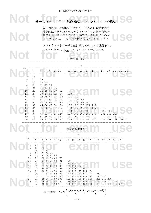**Notified to the form of the set of the set of the set of the set of the set of the set of the set of the set of the set of the set of the set of the set of the set of the set of the set of the set of the set of the set** 

**Notation Service Service Service Service Service Service Service Service Service Service Service Service Service Service Service Service Service Service Service Service Service Service Service Service Service Service Se** 以下の表は,片側検定において,示された有意水準で 統計的に有意となるためのウィルコクソン順位和統計 量 *T* の最大値を与えている.順位の和を取る標本の大 きさを *n*<sup>1</sup> とし,もう一方の標本の大きさを *n*<sup>2</sup> とする.

マン・ウィットニー検定統計量 *U* の対応する臨界値は,